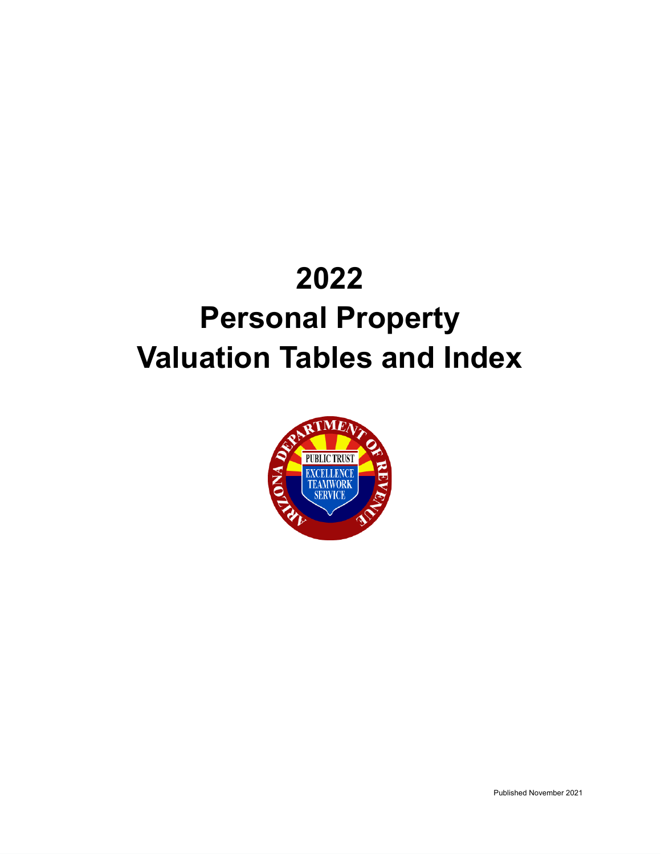# **2022 Personal Property Valuation Tables and Index**

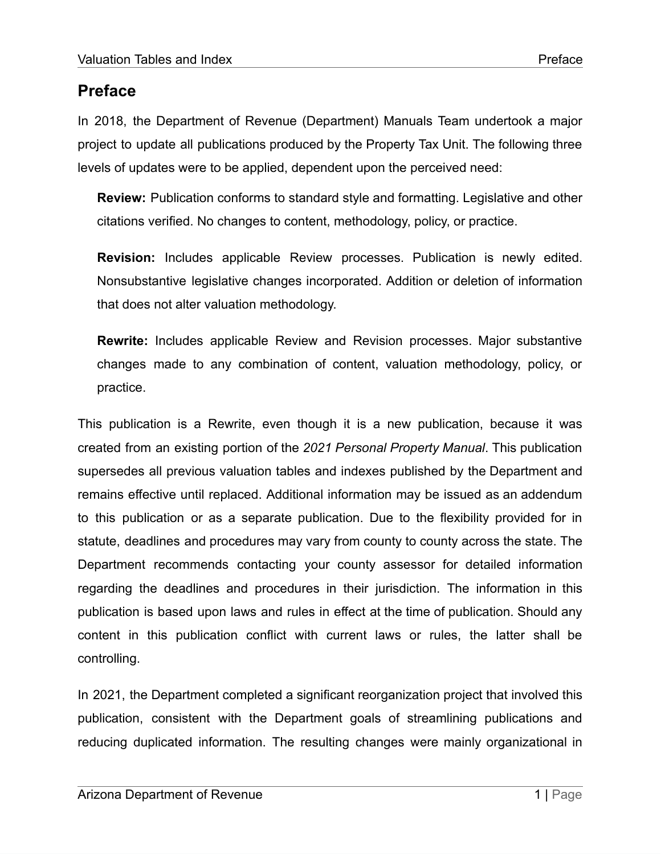# <span id="page-1-0"></span>**Preface**

In 2018, the Department of Revenue (Department) Manuals Team undertook a major project to update all publications produced by the Property Tax Unit. The following three levels of updates were to be applied, dependent upon the perceived need:

**Review:** Publication conforms to standard style and formatting. Legislative and other citations verified. No changes to content, methodology, policy, or practice.

**Revision:** Includes applicable Review processes. Publication is newly edited. Nonsubstantive legislative changes incorporated. Addition or deletion of information that does not alter valuation methodology.

**Rewrite:** Includes applicable Review and Revision processes. Major substantive changes made to any combination of content, valuation methodology, policy, or practice.

This publication is a Rewrite, even though it is a new publication, because it was created from an existing portion of the *2021 Personal Property Manual*. This publication supersedes all previous valuation tables and indexes published by the Department and remains effective until replaced. Additional information may be issued as an addendum to this publication or as a separate publication. Due to the flexibility provided for in statute, deadlines and procedures may vary from county to county across the state. The Department recommends contacting your county assessor for detailed information regarding the deadlines and procedures in their jurisdiction. The information in this publication is based upon laws and rules in effect at the time of publication. Should any content in this publication conflict with current laws or rules, the latter shall be controlling.

In 2021, the Department completed a significant reorganization project that involved this publication, consistent with the Department goals of streamlining publications and reducing duplicated information. The resulting changes were mainly organizational in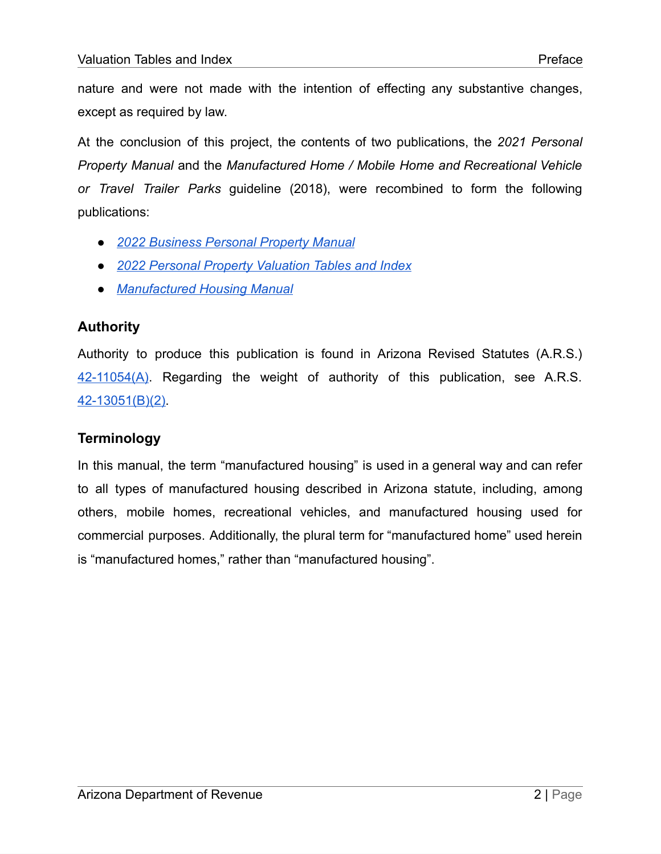nature and were not made with the intention of effecting any substantive changes, except as required by law.

At the conclusion of this project, the contents of two publications, the *2021 Personal Property Manual* and the *Manufactured Home / Mobile Home and Recreational Vehicle or Travel Trailer Parks* guideline (2018), were recombined to form the following publications:

- *● 2022 [Business](https://azdor.gov/sites/default/files/media/PROPERTY_pp-manual.pdf) Personal Property Manual*
- *● 2022 Personal Property [Valuation](https://azdor.gov/sites/default/files/media/PROPERTY_PPValuationTablesAndIndex.pdf) Tables and Index*
- *● [Manufactured](https://azdor.gov/sites/default/files/media/PROPERTY_ManufacturedHousingManual.pdf) Housing Manual*

#### <span id="page-2-0"></span>**Authority**

Authority to produce this publication is found in Arizona Revised Statutes (A.R.S.)  $42-11054(A)$ . Regarding the weight of authority of this publication, see A.R.S. [42-13051\(B\)\(2\).](https://www.azleg.gov/viewdocument/?docName=https://www.azleg.gov/ars/42/13051.htm)

## <span id="page-2-1"></span>**Terminology**

In this manual, the term "manufactured housing" is used in a general way and can refer to all types of manufactured housing described in Arizona statute, including, among others, mobile homes, recreational vehicles, and manufactured housing used for commercial purposes. Additionally, the plural term for "manufactured home" used herein is "manufactured homes," rather than "manufactured housing".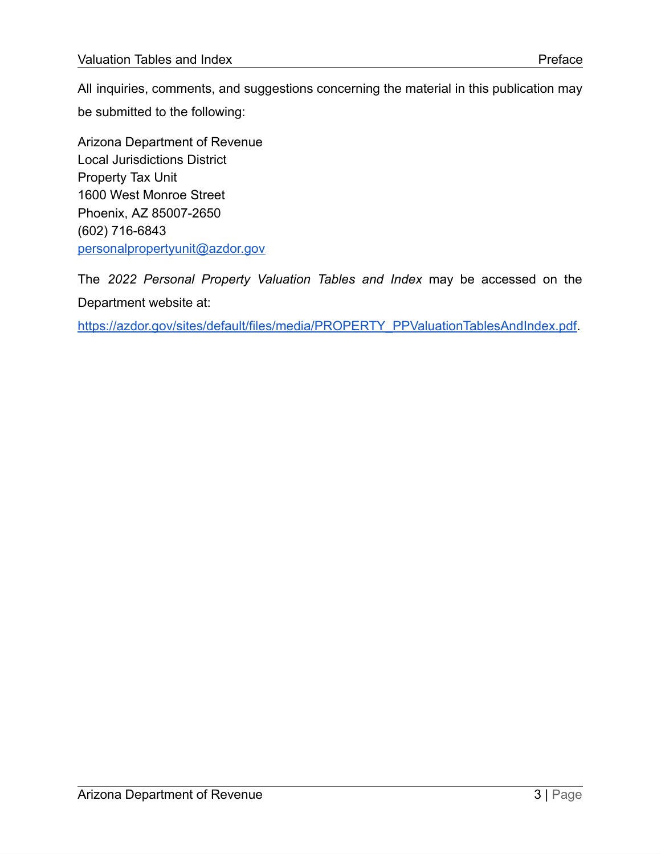All inquiries, comments, and suggestions concerning the material in this publication may be submitted to the following:

Arizona Department of Revenue Local Jurisdictions District Property Tax Unit 1600 West Monroe Street Phoenix, AZ 85007-2650 (602) 716-6843 [personalpropertyunit@azdor.gov](mailto:personalpropertyunit@azdor.gov)

The *2022 Personal Property Valuation Tables and Index* may be accessed on the Department website at:

https://azdor.gov/sites/default/files/media/PROPERTY\_PPValuationTablesAndIndex.pdf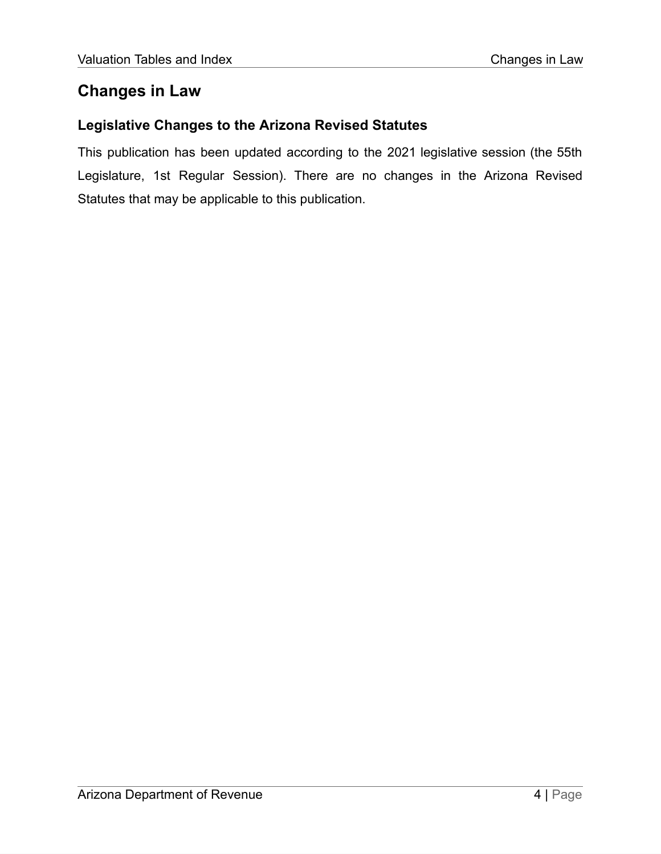## <span id="page-4-0"></span>**Changes in Law**

#### <span id="page-4-1"></span>**Legislative Changes to the Arizona Revised Statutes**

This publication has been updated according to the 2021 legislative session (the 55th Legislature, 1st Regular Session). There are no changes in the Arizona Revised Statutes that may be applicable to this publication.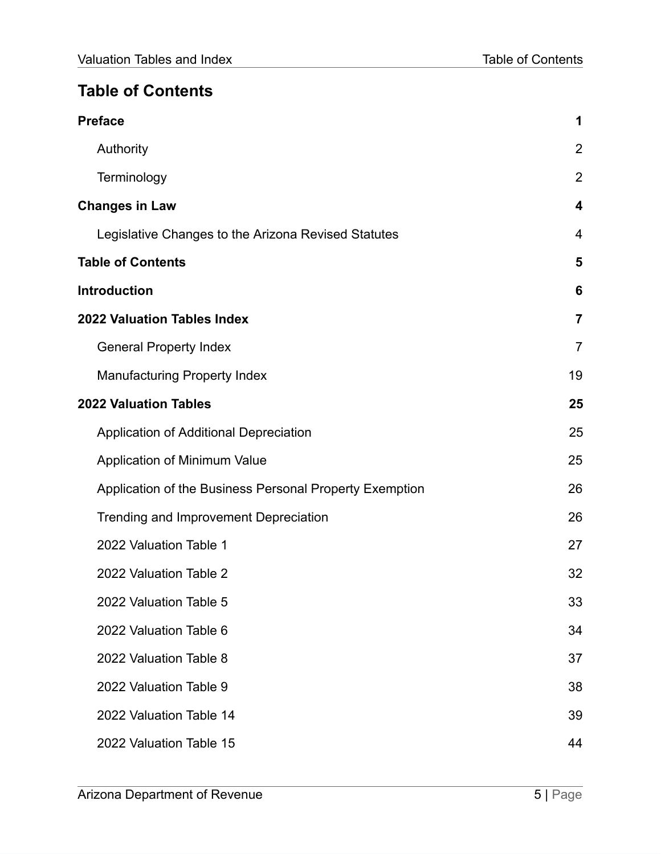# <span id="page-5-0"></span>**Table of Contents**

| <b>Preface</b>                                          | 1                       |
|---------------------------------------------------------|-------------------------|
| Authority                                               | $\overline{2}$          |
| Terminology                                             | $\overline{2}$          |
| <b>Changes in Law</b>                                   | $\overline{\mathbf{4}}$ |
| Legislative Changes to the Arizona Revised Statutes     | 4                       |
| <b>Table of Contents</b>                                | 5                       |
| <b>Introduction</b>                                     | 6                       |
| <b>2022 Valuation Tables Index</b>                      | $\overline{7}$          |
| <b>General Property Index</b>                           | $\overline{7}$          |
| <b>Manufacturing Property Index</b>                     | 19                      |
| <b>2022 Valuation Tables</b>                            | 25                      |
| Application of Additional Depreciation                  | 25                      |
| Application of Minimum Value                            | 25                      |
| Application of the Business Personal Property Exemption | 26                      |
| Trending and Improvement Depreciation                   | 26                      |
| 2022 Valuation Table 1                                  | 27                      |
| 2022 Valuation Table 2                                  | 32                      |
| 2022 Valuation Table 5                                  | 33                      |
| 2022 Valuation Table 6                                  | 34                      |
| 2022 Valuation Table 8                                  | 37                      |
| 2022 Valuation Table 9                                  | 38                      |
| 2022 Valuation Table 14                                 | 39                      |
| 2022 Valuation Table 15                                 | 44                      |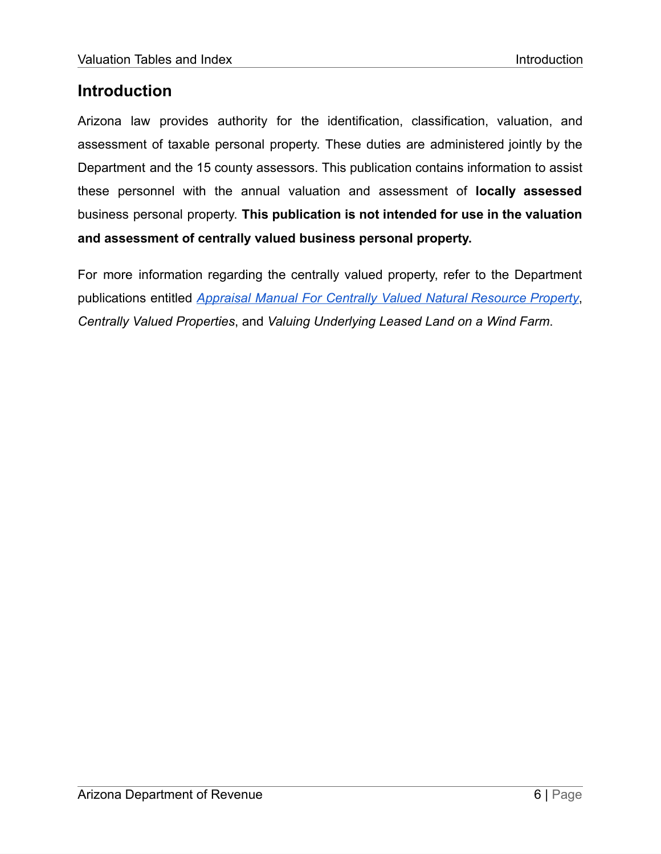## <span id="page-6-0"></span>**Introduction**

Arizona law provides authority for the identification, classification, valuation, and assessment of taxable personal property. These duties are administered jointly by the Department and the 15 county assessors. This publication contains information to assist these personnel with the annual valuation and assessment of **locally assessed** business personal property. **This publication is not intended for use in the valuation and assessment of centrally valued business personal property.**

For more information regarding the centrally valued property, refer to the Department publications entitled *Appraisal Manual For Centrally Valued Natural [Resource](https://azdor.gov/sites/default/files/media/MineManual-TY2022.pdf) Property*, *Centrally Valued Properties*, and *Valuing Underlying Leased Land on a Wind Farm*.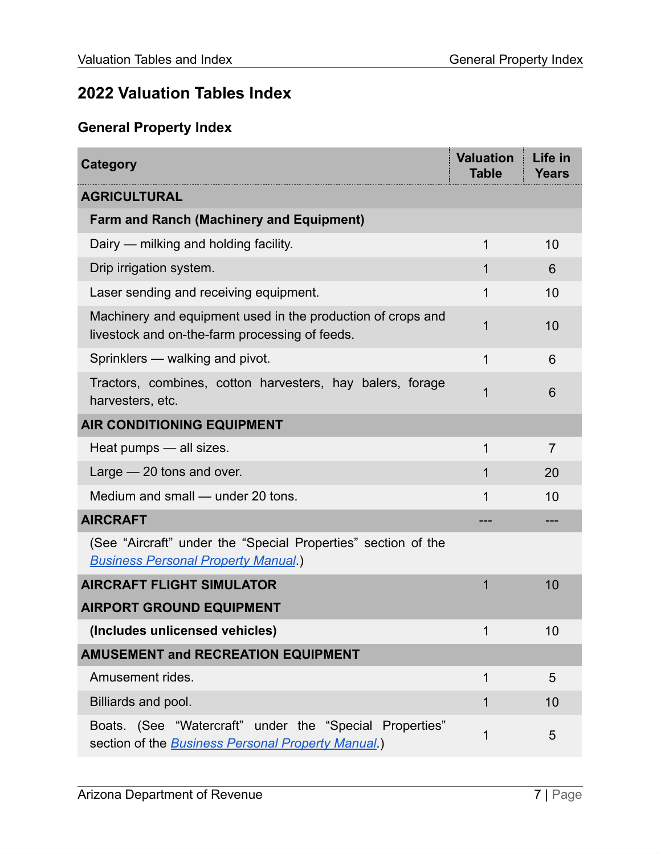# <span id="page-7-0"></span>**2022 Valuation Tables Index**

# <span id="page-7-1"></span>**General Property Index**

| <b>Category</b>                                                                                                       | <b>Valuation</b><br><b>Table</b> | Life in<br><b>Years</b> |
|-----------------------------------------------------------------------------------------------------------------------|----------------------------------|-------------------------|
| <b>AGRICULTURAL</b>                                                                                                   |                                  |                         |
| <b>Farm and Ranch (Machinery and Equipment)</b>                                                                       |                                  |                         |
| Dairy — milking and holding facility.                                                                                 | $\mathbf 1$                      | 10                      |
| Drip irrigation system.                                                                                               | 1                                | 6                       |
| Laser sending and receiving equipment.                                                                                | 1                                | 10                      |
| Machinery and equipment used in the production of crops and<br>livestock and on-the-farm processing of feeds.         | 1                                | 10                      |
| Sprinklers - walking and pivot.                                                                                       | $\mathbf 1$                      | 6                       |
| Tractors, combines, cotton harvesters, hay balers, forage<br>harvesters, etc.                                         | 1                                | 6                       |
| <b>AIR CONDITIONING EQUIPMENT</b>                                                                                     |                                  |                         |
| Heat pumps - all sizes.                                                                                               | 1                                | $\overline{7}$          |
| Large $-20$ tons and over.                                                                                            | 1                                | 20                      |
| Medium and small — under 20 tons.                                                                                     | 1                                | 10                      |
| <b>AIRCRAFT</b>                                                                                                       |                                  |                         |
| (See "Aircraft" under the "Special Properties" section of the<br><b>Business Personal Property Manual</b> .)          |                                  |                         |
| <b>AIRCRAFT FLIGHT SIMULATOR</b>                                                                                      | 1                                | 10                      |
| <b>AIRPORT GROUND EQUIPMENT</b>                                                                                       |                                  |                         |
| (Includes unlicensed vehicles)                                                                                        | $\overline{\mathbf{1}}$          | 10                      |
| <b>AMUSEMENT and RECREATION EQUIPMENT</b>                                                                             |                                  |                         |
| Amusement rides.                                                                                                      | $\mathbf 1$                      | 5                       |
| Billiards and pool.                                                                                                   | 1                                | 10                      |
| Boats. (See "Watercraft" under the "Special Properties"<br>section of the <b>Business Personal Property Manual</b> .) | 1                                | 5                       |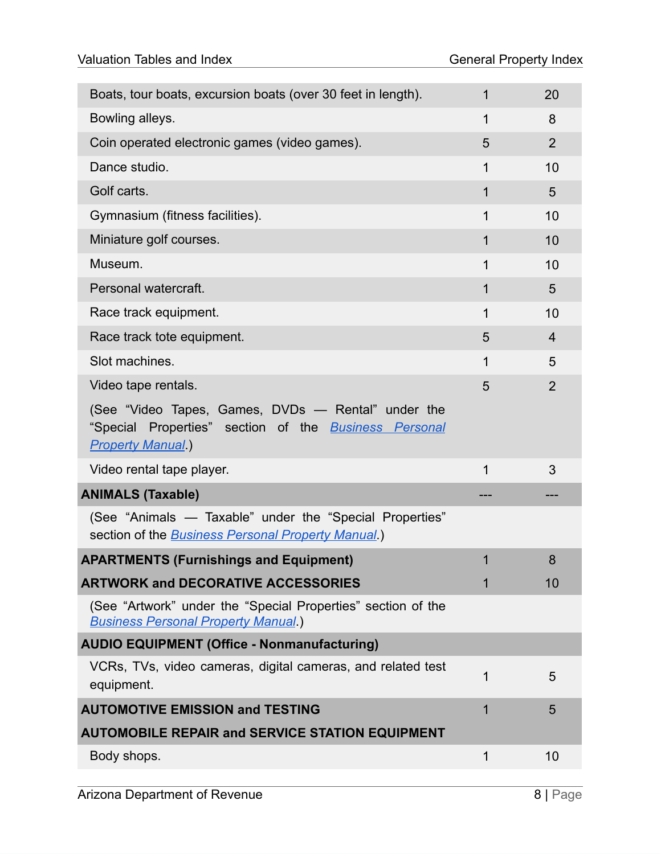| Boats, tour boats, excursion boats (over 30 feet in length).                                                                                   | 1           | 20             |
|------------------------------------------------------------------------------------------------------------------------------------------------|-------------|----------------|
| Bowling alleys.                                                                                                                                | 1           | 8              |
| Coin operated electronic games (video games).                                                                                                  | 5           | 2              |
| Dance studio.                                                                                                                                  | $\mathbf 1$ | 10             |
| Golf carts.                                                                                                                                    | 1           | 5              |
| Gymnasium (fitness facilities).                                                                                                                | 1           | 10             |
| Miniature golf courses.                                                                                                                        | 1           | 10             |
| Museum.                                                                                                                                        | $\mathbf 1$ | 10             |
| Personal watercraft.                                                                                                                           | 1           | 5              |
| Race track equipment.                                                                                                                          | 1           | 10             |
| Race track tote equipment.                                                                                                                     | 5           | $\overline{4}$ |
| Slot machines.                                                                                                                                 | $\mathbf 1$ | 5              |
| Video tape rentals.                                                                                                                            | 5           | $\overline{2}$ |
| (See "Video Tapes, Games, DVDs - Rental" under the<br>"Special Properties" section of the <b>Business Personal</b><br><b>Property Manual</b> ) |             |                |
| Video rental tape player.                                                                                                                      | $\mathbf 1$ | 3              |
| <b>ANIMALS (Taxable)</b>                                                                                                                       |             |                |
| (See "Animals - Taxable" under the "Special Properties"<br>section of the <b>Business Personal Property Manual</b> .)                          |             |                |
| <b>APARTMENTS (Furnishings and Equipment)</b>                                                                                                  | 1           | 8              |
| <b>ARTWORK and DECORATIVE ACCESSORIES</b>                                                                                                      | 1           | 10             |
| (See "Artwork" under the "Special Properties" section of the<br><b>Business Personal Property Manual</b> )                                     |             |                |
| <b>AUDIO EQUIPMENT (Office - Nonmanufacturing)</b>                                                                                             |             |                |
| VCRs, TVs, video cameras, digital cameras, and related test<br>equipment.                                                                      | 1           | 5              |
| <b>AUTOMOTIVE EMISSION and TESTING</b>                                                                                                         | 1           | 5              |
| <b>AUTOMOBILE REPAIR and SERVICE STATION EQUIPMENT</b>                                                                                         |             |                |
| Body shops.                                                                                                                                    | 1           | 10             |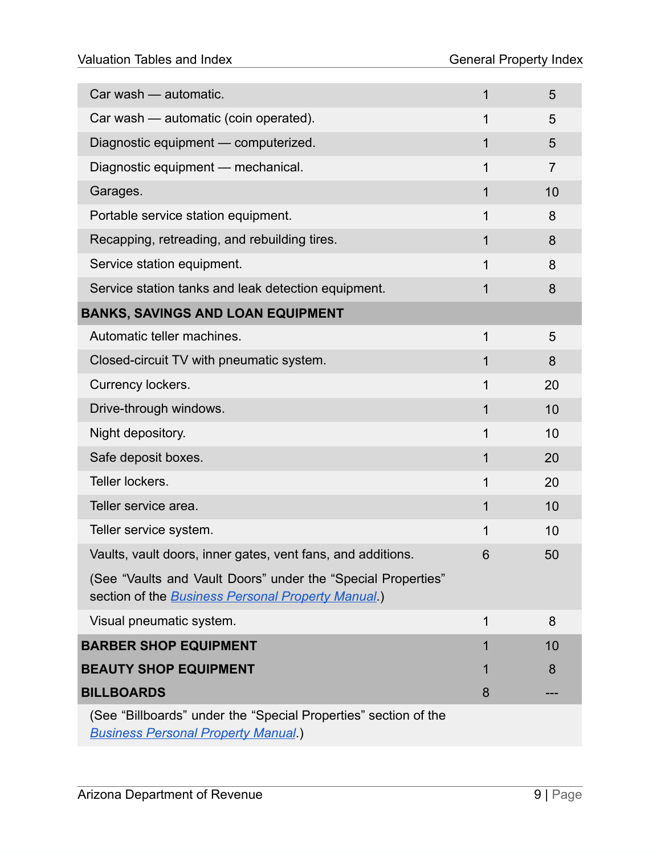| Car wash - automatic.                                                                                                      | $\mathbf 1$ | 5              |
|----------------------------------------------------------------------------------------------------------------------------|-------------|----------------|
| Car wash - automatic (coin operated).                                                                                      | 1           | 5              |
| Diagnostic equipment - computerized.                                                                                       | 1           | 5              |
| Diagnostic equipment - mechanical.                                                                                         | 1           | $\overline{7}$ |
| Garages.                                                                                                                   | $\mathbf 1$ | 10             |
| Portable service station equipment.                                                                                        | 1           | 8              |
| Recapping, retreading, and rebuilding tires.                                                                               | 1           | 8              |
| Service station equipment.                                                                                                 | 1           | 8              |
| Service station tanks and leak detection equipment.                                                                        | 1           | 8              |
| <b>BANKS, SAVINGS AND LOAN EQUIPMENT</b>                                                                                   |             |                |
| Automatic teller machines.                                                                                                 | 1           | 5              |
| Closed-circuit TV with pneumatic system.                                                                                   | $\mathbf 1$ | 8              |
| Currency lockers.                                                                                                          | $\mathbf 1$ | 20             |
| Drive-through windows.                                                                                                     | 1           | 10             |
| Night depository.                                                                                                          | 1           | 10             |
| Safe deposit boxes.                                                                                                        | 1           | 20             |
| Teller lockers.                                                                                                            | $\mathbf 1$ | 20             |
| Teller service area.                                                                                                       | 1           | 10             |
| Teller service system.                                                                                                     | 1           | 10             |
| Vaults, vault doors, inner gates, vent fans, and additions.                                                                | 6           | 50             |
| (See "Vaults and Vault Doors" under the "Special Properties"<br>section of the <b>Business Personal Property Manual</b> .) |             |                |
| Visual pneumatic system.                                                                                                   | 1           | 8              |
| <b>BARBER SHOP EQUIPMENT</b>                                                                                               | 1           | 10             |
| <b>BEAUTY SHOP EQUIPMENT</b>                                                                                               | 1           | 8              |
| <b>BILLBOARDS</b>                                                                                                          | 8           |                |
| (See "Billboards" under the "Special Properties" section of the<br><b>Business Personal Property Manual.)</b>              |             |                |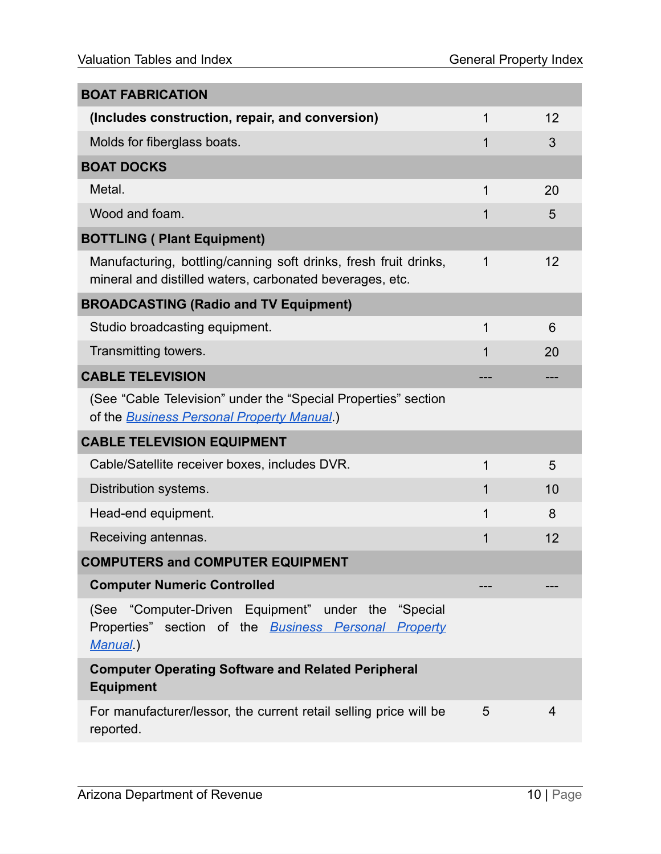| <b>BOAT FABRICATION</b>                                                                                                        |   |    |
|--------------------------------------------------------------------------------------------------------------------------------|---|----|
| (Includes construction, repair, and conversion)                                                                                | 1 | 12 |
| Molds for fiberglass boats.                                                                                                    | 1 | 3  |
| <b>BOAT DOCKS</b>                                                                                                              |   |    |
| Metal.                                                                                                                         | 1 | 20 |
| Wood and foam.                                                                                                                 | 1 | 5  |
| <b>BOTTLING (Plant Equipment)</b>                                                                                              |   |    |
| Manufacturing, bottling/canning soft drinks, fresh fruit drinks,<br>mineral and distilled waters, carbonated beverages, etc.   | 1 | 12 |
| <b>BROADCASTING (Radio and TV Equipment)</b>                                                                                   |   |    |
| Studio broadcasting equipment.                                                                                                 | 1 | 6  |
| Transmitting towers.                                                                                                           | 1 | 20 |
| <b>CABLE TELEVISION</b>                                                                                                        |   |    |
| (See "Cable Television" under the "Special Properties" section<br>of the <b>Business Personal Property Manual</b> .)           |   |    |
| <b>CABLE TELEVISION EQUIPMENT</b>                                                                                              |   |    |
| Cable/Satellite receiver boxes, includes DVR.                                                                                  | 1 | 5  |
| Distribution systems.                                                                                                          | 1 | 10 |
| Head-end equipment.                                                                                                            | 1 | 8  |
| Receiving antennas.                                                                                                            | 1 | 12 |
| <b>COMPUTERS and COMPUTER EQUIPMENT</b>                                                                                        |   |    |
| <b>Computer Numeric Controlled</b>                                                                                             |   |    |
| (See "Computer-Driven Equipment" under the "Special<br>Properties" section of the <b>Business Personal Property</b><br>Manual) |   |    |
| <b>Computer Operating Software and Related Peripheral</b><br><b>Equipment</b>                                                  |   |    |
| For manufacturer/lessor, the current retail selling price will be<br>reported.                                                 | 5 | 4  |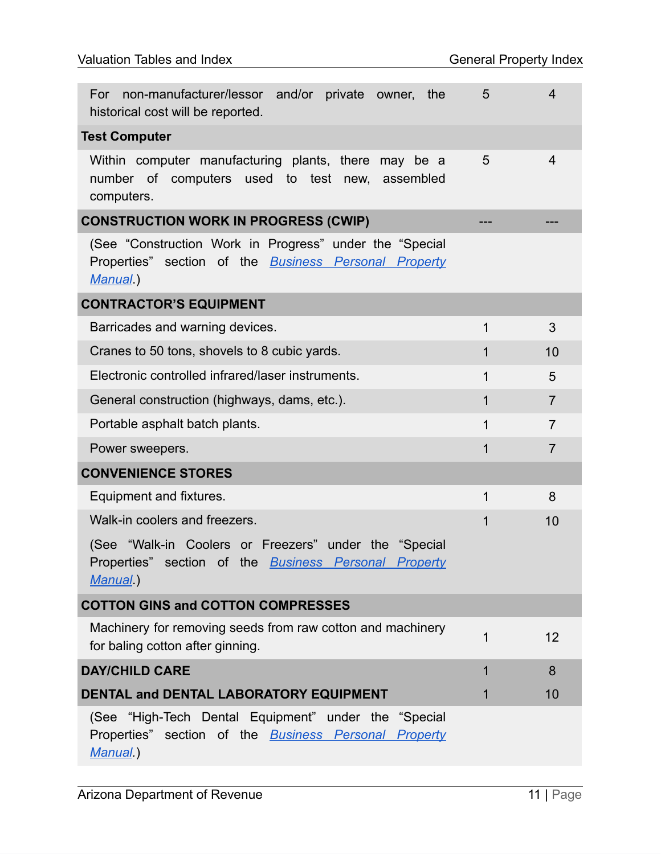| non-manufacturer/lessor and/or private owner, the<br>For<br>historical cost will be reported.                                      | 5            | 4              |
|------------------------------------------------------------------------------------------------------------------------------------|--------------|----------------|
| <b>Test Computer</b>                                                                                                               |              |                |
| Within computer manufacturing plants, there may be a<br>number of computers used to test new, assembled<br>computers.              | 5            | $\overline{4}$ |
| <b>CONSTRUCTION WORK IN PROGRESS (CWIP)</b>                                                                                        |              |                |
| (See "Construction Work in Progress" under the "Special<br>Properties" section of the <b>Business Personal Property</b><br>Manual) |              |                |
| <b>CONTRACTOR'S EQUIPMENT</b>                                                                                                      |              |                |
| Barricades and warning devices.                                                                                                    | $\mathbf 1$  | 3              |
| Cranes to 50 tons, shovels to 8 cubic yards.                                                                                       | $\mathbf{1}$ | 10             |
| Electronic controlled infrared/laser instruments.                                                                                  | $\mathbf 1$  | 5              |
| General construction (highways, dams, etc.).                                                                                       | $\mathbf 1$  | $\overline{7}$ |
| Portable asphalt batch plants.                                                                                                     | $\mathbf 1$  | $\overline{7}$ |
| Power sweepers.                                                                                                                    | 1            | $\overline{7}$ |
| <b>CONVENIENCE STORES</b>                                                                                                          |              |                |
| Equipment and fixtures.                                                                                                            | $\mathbf 1$  | 8              |
| Walk-in coolers and freezers.                                                                                                      | 1            | 10             |
| (See "Walk-in Coolers or Freezers" under the "Special<br>Properties" section of the <u>Business Personal Property</u><br>Manual)   |              |                |
| <b>COTTON GINS and COTTON COMPRESSES</b>                                                                                           |              |                |
| Machinery for removing seeds from raw cotton and machinery<br>for baling cotton after ginning.                                     | 1            | 12             |
| <b>DAY/CHILD CARE</b>                                                                                                              | 1            | 8              |
| DENTAL and DENTAL LABORATORY EQUIPMENT                                                                                             | 1            | 10             |
| (See "High-Tech Dental Equipment" under the "Special<br>Properties" section of the <b>Business Personal Property</b><br>Manual)    |              |                |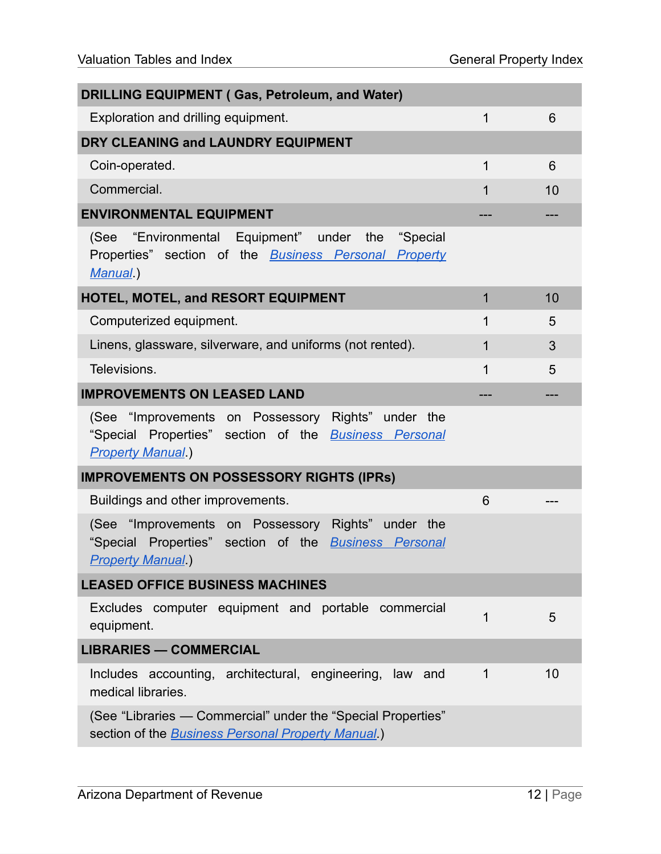| <b>DRILLING EQUIPMENT (Gas, Petroleum, and Water)</b>                                                                                          |                |    |
|------------------------------------------------------------------------------------------------------------------------------------------------|----------------|----|
| Exploration and drilling equipment.                                                                                                            | $\mathbf 1$    | 6  |
| DRY CLEANING and LAUNDRY EQUIPMENT                                                                                                             |                |    |
| Coin-operated.                                                                                                                                 | 1              | 6  |
| Commercial.                                                                                                                                    | 1              | 10 |
| <b>ENVIRONMENTAL EQUIPMENT</b>                                                                                                                 |                |    |
| (See "Environmental Equipment" under the<br>"Special<br>Properties" section of the <b>Business Personal Property</b><br>Manual)                |                |    |
| <b>HOTEL, MOTEL, and RESORT EQUIPMENT</b>                                                                                                      | $\overline{1}$ | 10 |
| Computerized equipment.                                                                                                                        | 1              | 5  |
| Linens, glassware, silverware, and uniforms (not rented).                                                                                      | $\mathbf{1}$   | 3  |
| Televisions.                                                                                                                                   | $\mathbf{1}$   | 5  |
| <b>IMPROVEMENTS ON LEASED LAND</b>                                                                                                             |                |    |
| (See "Improvements on Possessory Rights" under the<br>"Special Properties" section of the <b>Business Personal</b><br><b>Property Manual</b> ) |                |    |
| <b>IMPROVEMENTS ON POSSESSORY RIGHTS (IPRs)</b>                                                                                                |                |    |
| Buildings and other improvements.                                                                                                              | 6              |    |
| (See "Improvements on Possessory Rights" under the<br>"Special Properties" section of the <b>Business Personal</b><br><b>Property Manual</b> ) |                |    |
| <b>LEASED OFFICE BUSINESS MACHINES</b>                                                                                                         |                |    |
| Excludes computer equipment and portable commercial<br>equipment.                                                                              | 1              | 5  |
| <b>LIBRARIES - COMMERCIAL</b>                                                                                                                  |                |    |
| Includes accounting, architectural, engineering, law and<br>medical libraries.                                                                 | 1              | 10 |
| (See "Libraries — Commercial" under the "Special Properties"<br>section of the <b>Business Personal Property Manual</b> .)                     |                |    |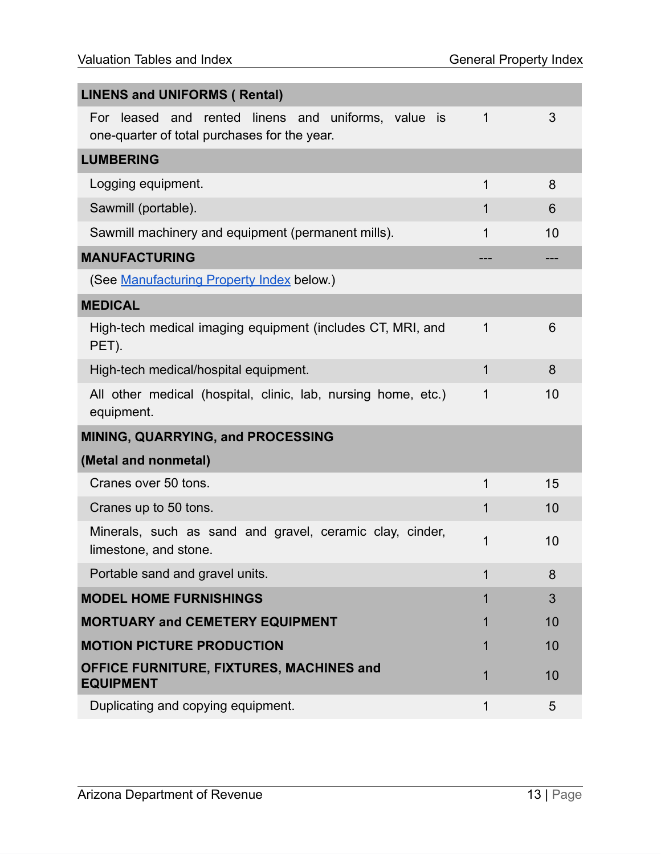| <b>LINENS and UNIFORMS ( Rental)</b>                                                                |             |    |
|-----------------------------------------------------------------------------------------------------|-------------|----|
|                                                                                                     |             |    |
| For leased and rented linens and uniforms, value is<br>one-quarter of total purchases for the year. | 1           | 3  |
| <b>LUMBERING</b>                                                                                    |             |    |
| Logging equipment.                                                                                  | 1           | 8  |
| Sawmill (portable).                                                                                 | 1           | 6  |
| Sawmill machinery and equipment (permanent mills).                                                  | 1           | 10 |
| <b>MANUFACTURING</b>                                                                                |             |    |
| (See Manufacturing Property Index below.)                                                           |             |    |
| <b>MEDICAL</b>                                                                                      |             |    |
| High-tech medical imaging equipment (includes CT, MRI, and<br>PET).                                 | 1           | 6  |
| High-tech medical/hospital equipment.                                                               | 1           | 8  |
| All other medical (hospital, clinic, lab, nursing home, etc.)<br>equipment.                         | 1           | 10 |
| <b>MINING, QUARRYING, and PROCESSING</b>                                                            |             |    |
| (Metal and nonmetal)                                                                                |             |    |
| Cranes over 50 tons.                                                                                | 1           | 15 |
| Cranes up to 50 tons.                                                                               | $\mathbf 1$ | 10 |
| Minerals, such as sand and gravel, ceramic clay, cinder,<br>limestone, and stone.                   | 1           | 10 |
| Portable sand and gravel units.                                                                     | 1           | 8  |
| <b>MODEL HOME FURNISHINGS</b>                                                                       |             | 3  |
| <b>MORTUARY and CEMETERY EQUIPMENT</b>                                                              |             | 10 |
| <b>MOTION PICTURE PRODUCTION</b>                                                                    |             | 10 |
| OFFICE FURNITURE, FIXTURES, MACHINES and<br><b>EQUIPMENT</b>                                        |             | 10 |
| Duplicating and copying equipment.                                                                  | 1           | 5  |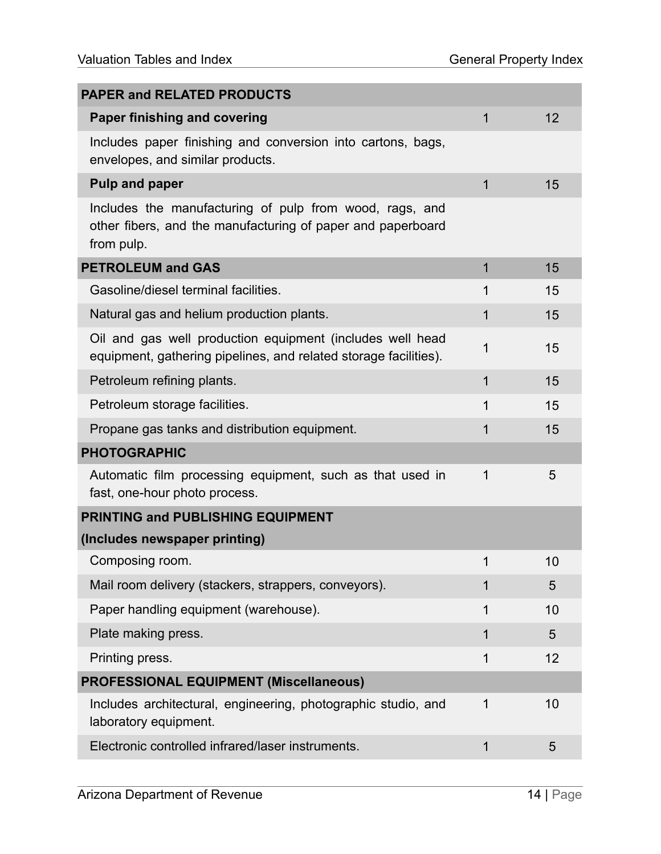| <b>PAPER and RELATED PRODUCTS</b>                                                                                                    |              |                |
|--------------------------------------------------------------------------------------------------------------------------------------|--------------|----------------|
| <b>Paper finishing and covering</b>                                                                                                  | $\mathbf{1}$ | 12             |
| Includes paper finishing and conversion into cartons, bags,<br>envelopes, and similar products.                                      |              |                |
| <b>Pulp and paper</b>                                                                                                                | $\mathbf 1$  | 15             |
| Includes the manufacturing of pulp from wood, rags, and<br>other fibers, and the manufacturing of paper and paperboard<br>from pulp. |              |                |
| <b>PETROLEUM and GAS</b>                                                                                                             | 1            | 15             |
| Gasoline/diesel terminal facilities.                                                                                                 | 1            | 15             |
| Natural gas and helium production plants.                                                                                            | 1            | 15             |
| Oil and gas well production equipment (includes well head<br>equipment, gathering pipelines, and related storage facilities).        | 1            | 15             |
| Petroleum refining plants.                                                                                                           | 1            | 15             |
| Petroleum storage facilities.                                                                                                        | 1            | 15             |
| Propane gas tanks and distribution equipment.                                                                                        | 1            | 15             |
| <b>PHOTOGRAPHIC</b>                                                                                                                  |              |                |
| Automatic film processing equipment, such as that used in<br>fast, one-hour photo process.                                           | 1            | 5              |
| PRINTING and PUBLISHING EQUIPMENT                                                                                                    |              |                |
| (Includes newspaper printing)                                                                                                        |              |                |
| Composing room.                                                                                                                      | 1            | 10             |
| Mail room delivery (stackers, strappers, conveyors).                                                                                 | 1            | 5              |
| Paper handling equipment (warehouse).                                                                                                | 1            | 10             |
| Plate making press.                                                                                                                  | 1            | $\overline{5}$ |
| Printing press.                                                                                                                      | 1            | 12             |
| <b>PROFESSIONAL EQUIPMENT (Miscellaneous)</b>                                                                                        |              |                |
| Includes architectural, engineering, photographic studio, and<br>laboratory equipment.                                               | 1            | 10             |
| Electronic controlled infrared/laser instruments.                                                                                    | 1            | 5              |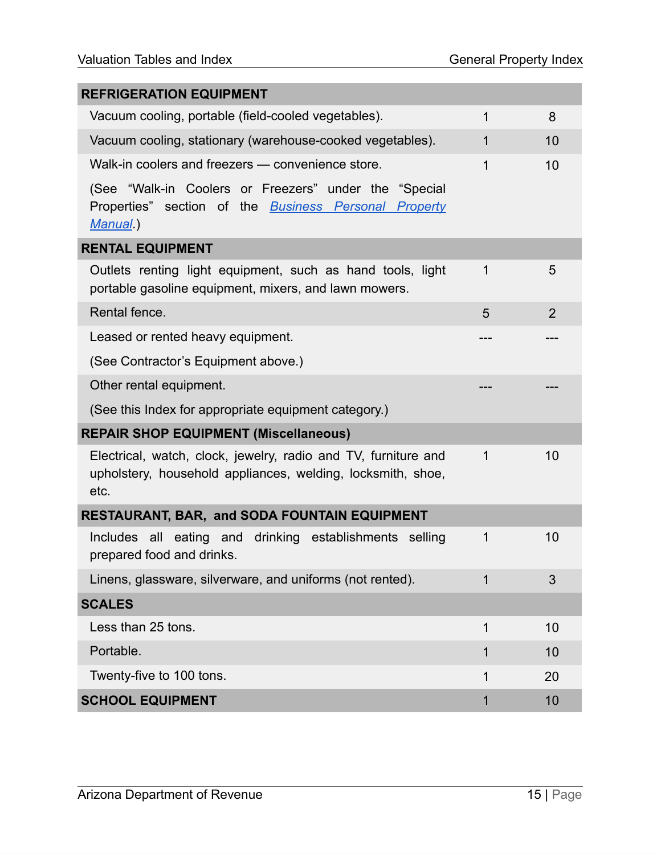| <b>REFRIGERATION EQUIPMENT</b>                                                                                                        |             |    |
|---------------------------------------------------------------------------------------------------------------------------------------|-------------|----|
| Vacuum cooling, portable (field-cooled vegetables).                                                                                   | 1           | 8  |
| Vacuum cooling, stationary (warehouse-cooked vegetables).                                                                             | 1           | 10 |
| Walk-in coolers and freezers - convenience store.                                                                                     | 1           | 10 |
| (See "Walk-in Coolers or Freezers" under the "Special<br>Properties" section of the <b>Business Personal Property</b><br>Manual)      |             |    |
| <b>RENTAL EQUIPMENT</b>                                                                                                               |             |    |
| Outlets renting light equipment, such as hand tools, light<br>portable gasoline equipment, mixers, and lawn mowers.                   | 1           | 5  |
| Rental fence.                                                                                                                         | 5           | 2  |
| Leased or rented heavy equipment.                                                                                                     |             |    |
| (See Contractor's Equipment above.)                                                                                                   |             |    |
| Other rental equipment.                                                                                                               |             |    |
| (See this Index for appropriate equipment category.)                                                                                  |             |    |
| <b>REPAIR SHOP EQUIPMENT (Miscellaneous)</b>                                                                                          |             |    |
| Electrical, watch, clock, jewelry, radio and TV, furniture and<br>upholstery, household appliances, welding, locksmith, shoe,<br>etc. | $\mathbf 1$ | 10 |
| <b>RESTAURANT, BAR, and SODA FOUNTAIN EQUIPMENT</b>                                                                                   |             |    |
| Includes all eating and<br>drinking establishments selling<br>prepared food and drinks.                                               | 1           | 10 |
| Linens, glassware, silverware, and uniforms (not rented).                                                                             |             | 3  |
| <b>SCALES</b>                                                                                                                         |             |    |
| Less than 25 tons.                                                                                                                    | 1           | 10 |
| Portable.                                                                                                                             | 1           | 10 |
| Twenty-five to 100 tons.                                                                                                              | 1           | 20 |
| <b>SCHOOL EQUIPMENT</b>                                                                                                               | 1           | 10 |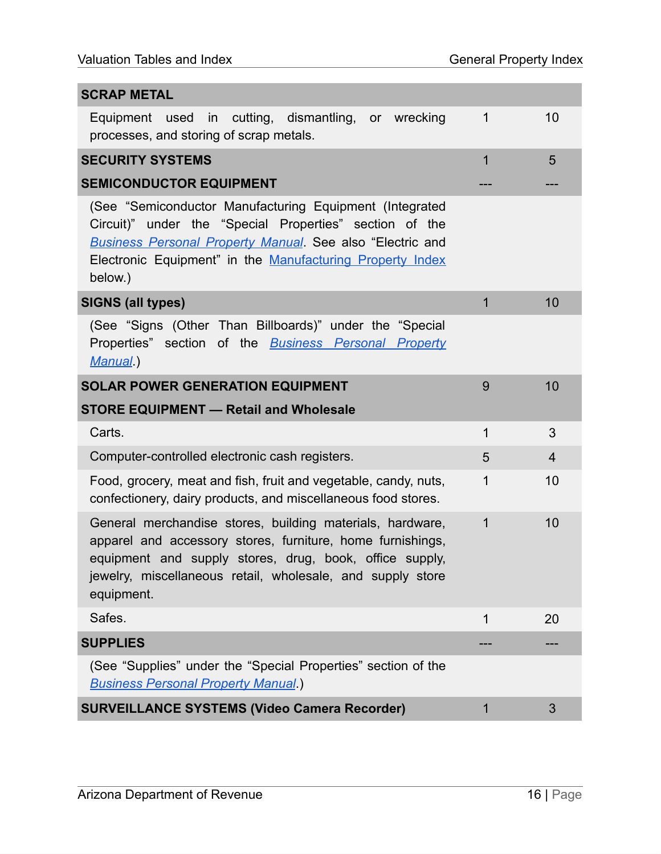| <b>SCRAP METAL</b>                                                                                                                                                                                                                                              |              |                |
|-----------------------------------------------------------------------------------------------------------------------------------------------------------------------------------------------------------------------------------------------------------------|--------------|----------------|
| Equipment used in cutting, dismantling, or wrecking<br>processes, and storing of scrap metals.                                                                                                                                                                  | 1            | 10             |
| <b>SECURITY SYSTEMS</b>                                                                                                                                                                                                                                         | 1            | 5              |
| <b>SEMICONDUCTOR EQUIPMENT</b>                                                                                                                                                                                                                                  |              |                |
| (See "Semiconductor Manufacturing Equipment (Integrated<br>Circuit)" under the "Special Properties" section of the<br><b>Business Personal Property Manual</b> . See also "Electric and<br>Electronic Equipment" in the Manufacturing Property Index<br>below.) |              |                |
| <b>SIGNS (all types)</b>                                                                                                                                                                                                                                        | $\mathbf{1}$ | 10             |
| (See "Signs (Other Than Billboards)" under the "Special<br>Properties" section of the <b>Business Personal Property</b><br>Manual)                                                                                                                              |              |                |
| <b>SOLAR POWER GENERATION EQUIPMENT</b>                                                                                                                                                                                                                         | 9            | 10             |
| <b>STORE EQUIPMENT - Retail and Wholesale</b>                                                                                                                                                                                                                   |              |                |
| Carts.                                                                                                                                                                                                                                                          | 1            | 3              |
| Computer-controlled electronic cash registers.                                                                                                                                                                                                                  | 5            | $\overline{4}$ |
| Food, grocery, meat and fish, fruit and vegetable, candy, nuts,<br>confectionery, dairy products, and miscellaneous food stores.                                                                                                                                | 1            | 10             |
| General merchandise stores, building materials, hardware,<br>apparel and accessory stores, furniture, home furnishings,<br>equipment and supply stores, drug, book, office supply,<br>jewelry, miscellaneous retail, wholesale, and supply store<br>equipment.  | 1            | 10             |
| Safes.                                                                                                                                                                                                                                                          | 1            | 20             |
| <b>SUPPLIES</b>                                                                                                                                                                                                                                                 |              |                |
| (See "Supplies" under the "Special Properties" section of the<br><b>Business Personal Property Manual</b> .)                                                                                                                                                    |              |                |
| <b>SURVEILLANCE SYSTEMS (Video Camera Recorder)</b>                                                                                                                                                                                                             | 1            | 3              |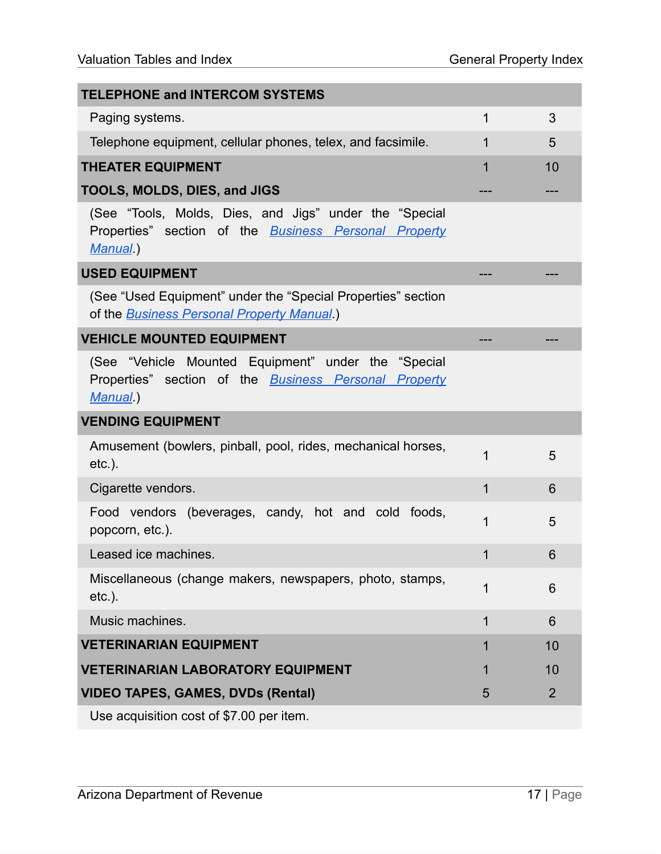| <b>TELEPHONE and INTERCOM SYSTEMS</b>                                                                                             |   |                |
|-----------------------------------------------------------------------------------------------------------------------------------|---|----------------|
| Paging systems.                                                                                                                   | 1 | 3              |
| Telephone equipment, cellular phones, telex, and facsimile.                                                                       | 1 | 5              |
| <b>THEATER EQUIPMENT</b>                                                                                                          |   | 10             |
| <b>TOOLS, MOLDS, DIES, and JIGS</b>                                                                                               |   |                |
| (See "Tools, Molds, Dies, and Jigs" under the "Special<br>Properties" section of the <b>Business Personal Property</b><br>Manual) |   |                |
| <b>USED EQUIPMENT</b>                                                                                                             |   |                |
| (See "Used Equipment" under the "Special Properties" section<br>of the <b>Business Personal Property Manual</b> .)                |   |                |
| <b>VEHICLE MOUNTED EQUIPMENT</b>                                                                                                  |   |                |
| (See "Vehicle Mounted Equipment" under the "Special<br>Properties" section of the <b>Business Personal Property</b><br>Manual)    |   |                |
| <b>VENDING EQUIPMENT</b>                                                                                                          |   |                |
| Amusement (bowlers, pinball, pool, rides, mechanical horses,<br>$etc.$ ).                                                         | 1 | 5              |
| Cigarette vendors.                                                                                                                | 1 | 6              |
| Food vendors (beverages, candy, hot and cold foods,<br>popcorn, etc.).                                                            | 1 | 5              |
| Leased ice machines.                                                                                                              | 1 | 6              |
| Miscellaneous (change makers, newspapers, photo, stamps,<br>$etc.$ ).                                                             |   | 6              |
| Music machines.                                                                                                                   | 1 | 6              |
| <b>VETERINARIAN EQUIPMENT</b>                                                                                                     | 1 | 10             |
| <b>VETERINARIAN LABORATORY EQUIPMENT</b>                                                                                          |   | 10             |
| <b>VIDEO TAPES, GAMES, DVDs (Rental)</b>                                                                                          | 5 | $\overline{2}$ |
|                                                                                                                                   |   |                |

Use acquisition cost of \$7.00 per item.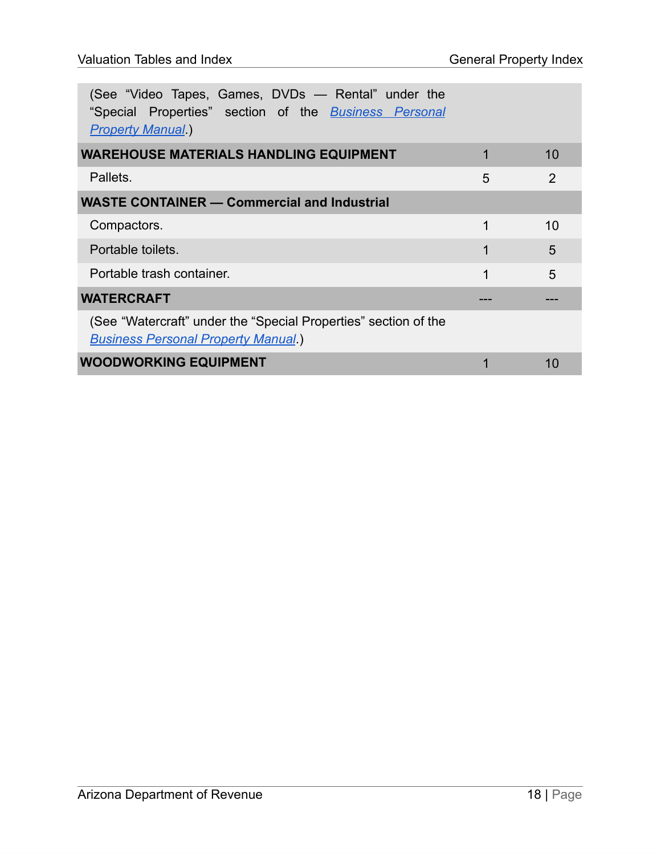| (See "Video Tapes, Games, DVDs - Rental" under the<br>"Special Properties" section of the <b>Business Personal</b><br><b>Property Manual</b> |   |                |
|----------------------------------------------------------------------------------------------------------------------------------------------|---|----------------|
| <b>WAREHOUSE MATERIALS HANDLING EQUIPMENT</b>                                                                                                |   | 10             |
| Pallets.                                                                                                                                     | 5 | $\overline{2}$ |
| <b>WASTE CONTAINER - Commercial and Industrial</b>                                                                                           |   |                |
| Compactors.                                                                                                                                  | 1 | 10             |
| Portable toilets.                                                                                                                            | 1 | 5              |
| Portable trash container.                                                                                                                    | 1 | 5              |
| <b>WATERCRAFT</b>                                                                                                                            |   |                |
| (See "Watercraft" under the "Special Properties" section of the<br><b>Business Personal Property Manual</b>                                  |   |                |
| <b>WOODWORKING EQUIPMENT</b>                                                                                                                 |   | 10             |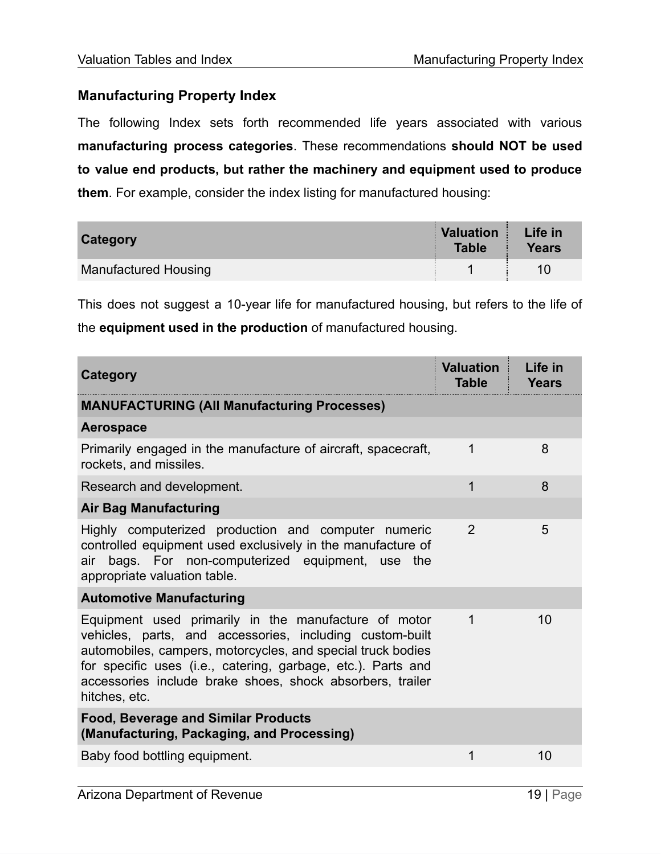#### <span id="page-19-0"></span>**Manufacturing Property Index**

The following Index sets forth recommended life years associated with various **manufacturing process categories**. These recommendations **should NOT be used to value end products, but rather the machinery and equipment used to produce them**. For example, consider the index listing for manufactured housing:

| Category                    | <b>Valuation</b><br><b>Table</b> | Life in<br><b>Years</b> |
|-----------------------------|----------------------------------|-------------------------|
| <b>Manufactured Housing</b> |                                  | 10                      |

This does not suggest a 10-year life for manufactured housing, but refers to the life of the **equipment used in the production** of manufactured housing.

| Category                                                                                                                                                                                                                                                                                                                      | <b>Valuation</b><br>Table | Life in<br>Years |
|-------------------------------------------------------------------------------------------------------------------------------------------------------------------------------------------------------------------------------------------------------------------------------------------------------------------------------|---------------------------|------------------|
| <b>MANUFACTURING (All Manufacturing Processes)</b>                                                                                                                                                                                                                                                                            |                           |                  |
| Aerospace                                                                                                                                                                                                                                                                                                                     |                           |                  |
| Primarily engaged in the manufacture of aircraft, spacecraft,<br>rockets, and missiles.                                                                                                                                                                                                                                       | 1                         | 8                |
| Research and development.                                                                                                                                                                                                                                                                                                     | 1                         | 8                |
| <b>Air Bag Manufacturing</b>                                                                                                                                                                                                                                                                                                  |                           |                  |
| Highly computerized production and computer numeric<br>controlled equipment used exclusively in the manufacture of<br>bags. For non-computerized equipment, use the<br>air<br>appropriate valuation table.                                                                                                                    | $\overline{2}$            | 5                |
| <b>Automotive Manufacturing</b>                                                                                                                                                                                                                                                                                               |                           |                  |
| Equipment used primarily in the manufacture of motor<br>vehicles, parts, and accessories, including custom-built<br>automobiles, campers, motorcycles, and special truck bodies<br>for specific uses (i.e., catering, garbage, etc.). Parts and<br>accessories include brake shoes, shock absorbers, trailer<br>hitches, etc. | 1                         | 10               |
| <b>Food, Beverage and Similar Products</b><br>(Manufacturing, Packaging, and Processing)                                                                                                                                                                                                                                      |                           |                  |
| Baby food bottling equipment.                                                                                                                                                                                                                                                                                                 | 1                         | 10               |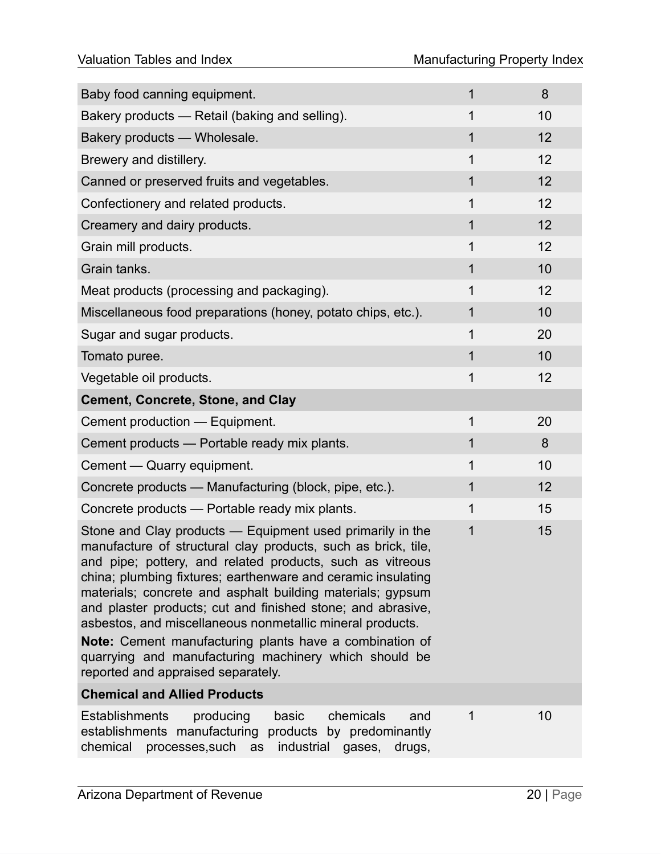| Baby food canning equipment.                                                                                                                                                                                                                                                                                                                                                                                                                                                                                                                                          | 1           | 8  |
|-----------------------------------------------------------------------------------------------------------------------------------------------------------------------------------------------------------------------------------------------------------------------------------------------------------------------------------------------------------------------------------------------------------------------------------------------------------------------------------------------------------------------------------------------------------------------|-------------|----|
| Bakery products — Retail (baking and selling).                                                                                                                                                                                                                                                                                                                                                                                                                                                                                                                        | 1           | 10 |
| Bakery products - Wholesale.                                                                                                                                                                                                                                                                                                                                                                                                                                                                                                                                          | 1           | 12 |
| Brewery and distillery.                                                                                                                                                                                                                                                                                                                                                                                                                                                                                                                                               | 1           | 12 |
| Canned or preserved fruits and vegetables.                                                                                                                                                                                                                                                                                                                                                                                                                                                                                                                            | $\mathbf 1$ | 12 |
| Confectionery and related products.                                                                                                                                                                                                                                                                                                                                                                                                                                                                                                                                   | 1           | 12 |
| Creamery and dairy products.                                                                                                                                                                                                                                                                                                                                                                                                                                                                                                                                          | 1           | 12 |
| Grain mill products.                                                                                                                                                                                                                                                                                                                                                                                                                                                                                                                                                  | 1           | 12 |
| Grain tanks.                                                                                                                                                                                                                                                                                                                                                                                                                                                                                                                                                          | 1           | 10 |
| Meat products (processing and packaging).                                                                                                                                                                                                                                                                                                                                                                                                                                                                                                                             | 1           | 12 |
| Miscellaneous food preparations (honey, potato chips, etc.).                                                                                                                                                                                                                                                                                                                                                                                                                                                                                                          | 1           | 10 |
| Sugar and sugar products.                                                                                                                                                                                                                                                                                                                                                                                                                                                                                                                                             | 1           | 20 |
| Tomato puree.                                                                                                                                                                                                                                                                                                                                                                                                                                                                                                                                                         | 1           | 10 |
| Vegetable oil products.                                                                                                                                                                                                                                                                                                                                                                                                                                                                                                                                               | 1           | 12 |
| <b>Cement, Concrete, Stone, and Clay</b>                                                                                                                                                                                                                                                                                                                                                                                                                                                                                                                              |             |    |
| Cement production — Equipment.                                                                                                                                                                                                                                                                                                                                                                                                                                                                                                                                        | 1           | 20 |
| Cement products - Portable ready mix plants.                                                                                                                                                                                                                                                                                                                                                                                                                                                                                                                          | 1           | 8  |
| Cement — Quarry equipment.                                                                                                                                                                                                                                                                                                                                                                                                                                                                                                                                            | 1           | 10 |
| Concrete products - Manufacturing (block, pipe, etc.).                                                                                                                                                                                                                                                                                                                                                                                                                                                                                                                | 1           | 12 |
| Concrete products - Portable ready mix plants.                                                                                                                                                                                                                                                                                                                                                                                                                                                                                                                        | 1           | 15 |
| Stone and Clay products — Equipment used primarily in the<br>manufacture of structural clay products, such as brick, tile,<br>and pipe; pottery, and related products, such as vitreous<br>china; plumbing fixtures; earthenware and ceramic insulating<br>materials; concrete and asphalt building materials; gypsum<br>and plaster products; cut and finished stone; and abrasive,<br>asbestos, and miscellaneous nonmetallic mineral products.<br>Note: Cement manufacturing plants have a combination of<br>quarrying and manufacturing machinery which should be | 1           | 15 |
| reported and appraised separately.<br><b>Chemical and Allied Products</b>                                                                                                                                                                                                                                                                                                                                                                                                                                                                                             |             |    |
| <b>Establishments</b><br>chemicals<br>producing<br>basic<br>and                                                                                                                                                                                                                                                                                                                                                                                                                                                                                                       | 1           | 10 |
| establishments manufacturing<br>products by predominantly<br>chemical<br>processes, such<br>industrial gases, drugs,<br>as                                                                                                                                                                                                                                                                                                                                                                                                                                            |             |    |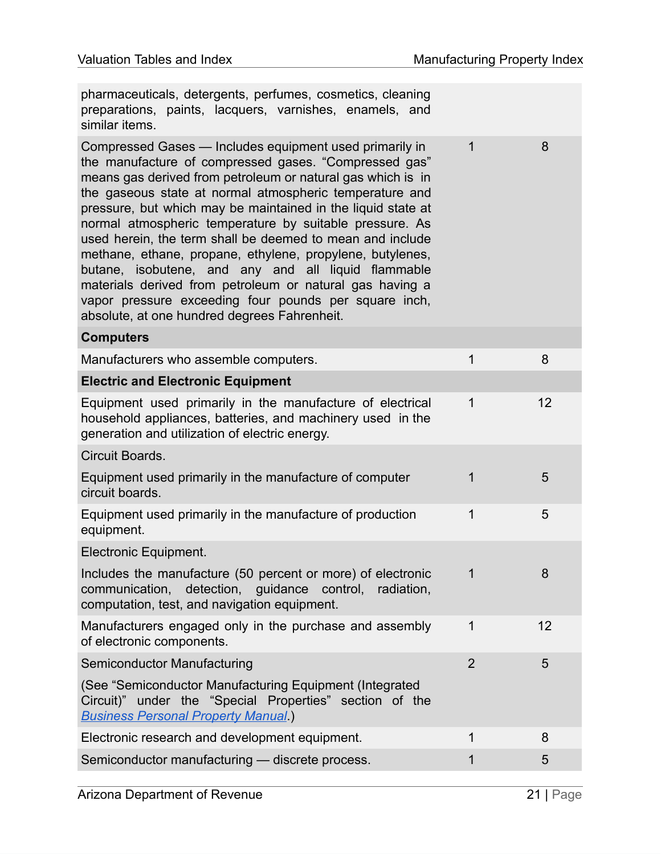| pharmaceuticals, detergents, perfumes, cosmetics, cleaning<br>preparations, paints, lacquers, varnishes, enamels, and<br>similar items.                                                                                                                                                                                                                                                                                                                                                                                                                                                                                                                                                                                     |                |    |
|-----------------------------------------------------------------------------------------------------------------------------------------------------------------------------------------------------------------------------------------------------------------------------------------------------------------------------------------------------------------------------------------------------------------------------------------------------------------------------------------------------------------------------------------------------------------------------------------------------------------------------------------------------------------------------------------------------------------------------|----------------|----|
| Compressed Gases - Includes equipment used primarily in<br>the manufacture of compressed gases. "Compressed gas"<br>means gas derived from petroleum or natural gas which is in<br>the gaseous state at normal atmospheric temperature and<br>pressure, but which may be maintained in the liquid state at<br>normal atmospheric temperature by suitable pressure. As<br>used herein, the term shall be deemed to mean and include<br>methane, ethane, propane, ethylene, propylene, butylenes,<br>butane, isobutene, and any and all liquid flammable<br>materials derived from petroleum or natural gas having a<br>vapor pressure exceeding four pounds per square inch,<br>absolute, at one hundred degrees Fahrenheit. | $\mathbf{1}$   | 8  |
| <b>Computers</b>                                                                                                                                                                                                                                                                                                                                                                                                                                                                                                                                                                                                                                                                                                            |                |    |
| Manufacturers who assemble computers.                                                                                                                                                                                                                                                                                                                                                                                                                                                                                                                                                                                                                                                                                       | 1              | 8  |
| <b>Electric and Electronic Equipment</b>                                                                                                                                                                                                                                                                                                                                                                                                                                                                                                                                                                                                                                                                                    |                |    |
| Equipment used primarily in the manufacture of electrical<br>household appliances, batteries, and machinery used in the<br>generation and utilization of electric energy.                                                                                                                                                                                                                                                                                                                                                                                                                                                                                                                                                   | 1              | 12 |
| Circuit Boards.                                                                                                                                                                                                                                                                                                                                                                                                                                                                                                                                                                                                                                                                                                             |                |    |
| Equipment used primarily in the manufacture of computer<br>circuit boards.                                                                                                                                                                                                                                                                                                                                                                                                                                                                                                                                                                                                                                                  | 1              | 5  |
| Equipment used primarily in the manufacture of production<br>equipment.                                                                                                                                                                                                                                                                                                                                                                                                                                                                                                                                                                                                                                                     | 1              | 5  |
| Electronic Equipment.                                                                                                                                                                                                                                                                                                                                                                                                                                                                                                                                                                                                                                                                                                       |                |    |
| Includes the manufacture (50 percent or more) of electronic<br>communication, detection, guidance control, radiation,<br>computation, test, and navigation equipment.                                                                                                                                                                                                                                                                                                                                                                                                                                                                                                                                                       | $\ddagger$     | 8  |
| Manufacturers engaged only in the purchase and assembly<br>of electronic components.                                                                                                                                                                                                                                                                                                                                                                                                                                                                                                                                                                                                                                        | $\mathbf 1$    | 12 |
| <b>Semiconductor Manufacturing</b>                                                                                                                                                                                                                                                                                                                                                                                                                                                                                                                                                                                                                                                                                          | $\overline{2}$ | 5  |
| (See "Semiconductor Manufacturing Equipment (Integrated<br>Circuit)" under the "Special Properties" section of the<br><b>Business Personal Property Manual.)</b>                                                                                                                                                                                                                                                                                                                                                                                                                                                                                                                                                            |                |    |
| Electronic research and development equipment.                                                                                                                                                                                                                                                                                                                                                                                                                                                                                                                                                                                                                                                                              | 1              | 8  |
| Semiconductor manufacturing - discrete process.                                                                                                                                                                                                                                                                                                                                                                                                                                                                                                                                                                                                                                                                             | 1              | 5  |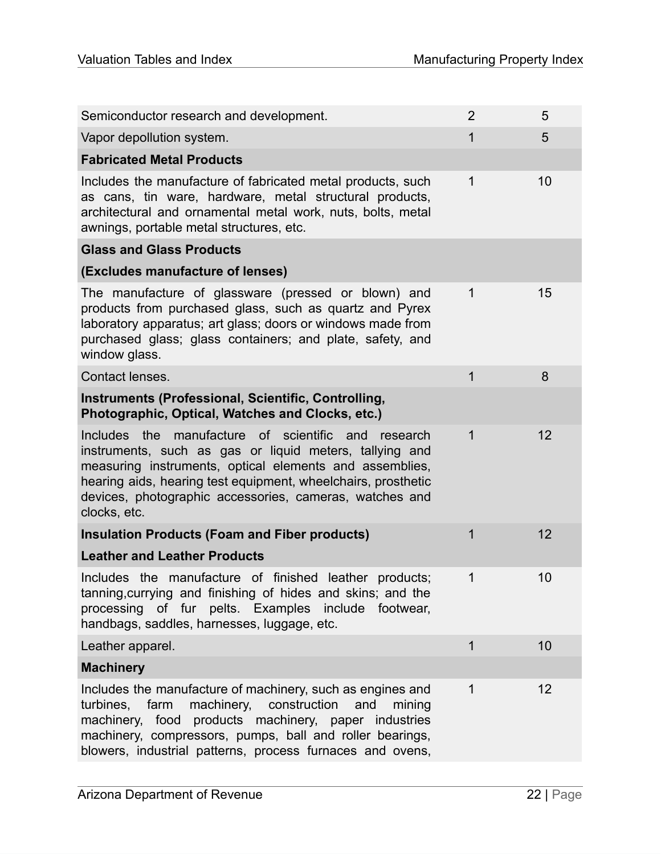| Semiconductor research and development.                                                                                                                                                                                                                                                                                  | $\overline{2}$ | 5  |
|--------------------------------------------------------------------------------------------------------------------------------------------------------------------------------------------------------------------------------------------------------------------------------------------------------------------------|----------------|----|
| Vapor depollution system.                                                                                                                                                                                                                                                                                                | 1              | 5  |
| <b>Fabricated Metal Products</b>                                                                                                                                                                                                                                                                                         |                |    |
| Includes the manufacture of fabricated metal products, such<br>as cans, tin ware, hardware, metal structural products,<br>architectural and ornamental metal work, nuts, bolts, metal<br>awnings, portable metal structures, etc.                                                                                        | 1              | 10 |
| <b>Glass and Glass Products</b>                                                                                                                                                                                                                                                                                          |                |    |
| (Excludes manufacture of lenses)                                                                                                                                                                                                                                                                                         |                |    |
| The manufacture of glassware (pressed or blown) and<br>products from purchased glass, such as quartz and Pyrex<br>laboratory apparatus; art glass; doors or windows made from<br>purchased glass; glass containers; and plate, safety, and<br>window glass.                                                              | 1              | 15 |
| Contact lenses.                                                                                                                                                                                                                                                                                                          | 1              | 8  |
| Instruments (Professional, Scientific, Controlling,<br>Photographic, Optical, Watches and Clocks, etc.)                                                                                                                                                                                                                  |                |    |
| the manufacture of scientific and research<br>Includes<br>instruments, such as gas or liquid meters, tallying and<br>measuring instruments, optical elements and assemblies,<br>hearing aids, hearing test equipment, wheelchairs, prosthetic<br>devices, photographic accessories, cameras, watches and<br>clocks, etc. | 1              | 12 |
| <b>Insulation Products (Foam and Fiber products)</b>                                                                                                                                                                                                                                                                     | 1              | 12 |
| <b>Leather and Leather Products</b>                                                                                                                                                                                                                                                                                      |                |    |
| Includes the manufacture of finished leather products;<br>tanning, currying and finishing of hides and skins; and the<br>processing of fur pelts. Examples include footwear,<br>handbags, saddles, harnesses, luggage, etc.                                                                                              | 1              | 10 |
| Leather apparel.                                                                                                                                                                                                                                                                                                         | 1              | 10 |
| <b>Machinery</b>                                                                                                                                                                                                                                                                                                         |                |    |
| Includes the manufacture of machinery, such as engines and<br>machinery, construction<br>turbines, farm<br>and<br>mining<br>machinery, food products machinery, paper industries<br>machinery, compressors, pumps, ball and roller bearings,<br>blowers, industrial patterns, process furnaces and ovens,                | 1              | 12 |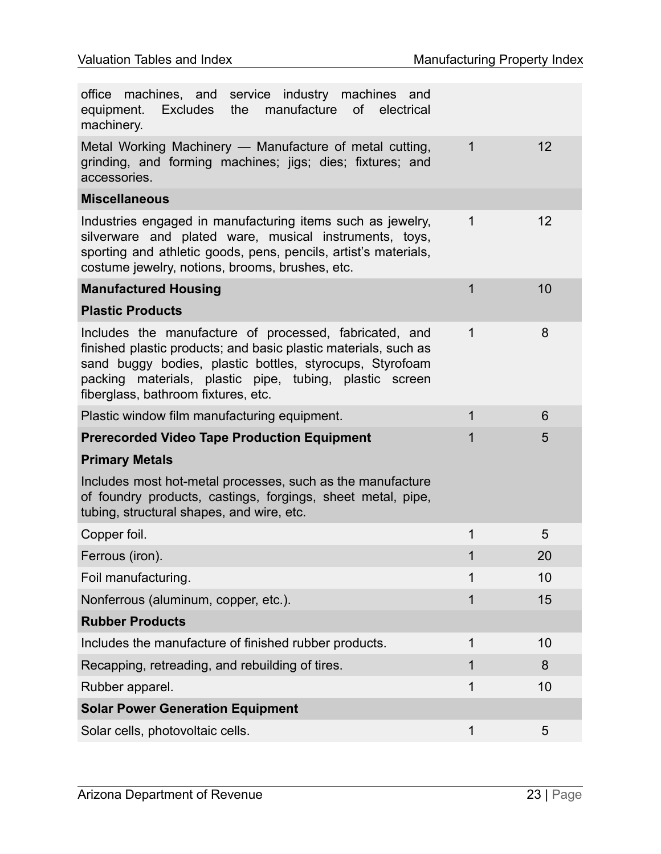| machines, and service industry machines and<br>office<br>manufacture<br>of electrical<br>equipment. Excludes<br>the<br>machinery.                                                                                                                                                          |   |    |
|--------------------------------------------------------------------------------------------------------------------------------------------------------------------------------------------------------------------------------------------------------------------------------------------|---|----|
| Metal Working Machinery — Manufacture of metal cutting,<br>grinding, and forming machines; jigs; dies; fixtures; and<br>accessories.                                                                                                                                                       | 1 | 12 |
| <b>Miscellaneous</b>                                                                                                                                                                                                                                                                       |   |    |
| Industries engaged in manufacturing items such as jewelry,<br>silverware and plated ware, musical instruments, toys,<br>sporting and athletic goods, pens, pencils, artist's materials,<br>costume jewelry, notions, brooms, brushes, etc.                                                 | 1 | 12 |
| <b>Manufactured Housing</b>                                                                                                                                                                                                                                                                | 1 | 10 |
| <b>Plastic Products</b>                                                                                                                                                                                                                                                                    |   |    |
| Includes the manufacture of processed, fabricated, and<br>finished plastic products; and basic plastic materials, such as<br>sand buggy bodies, plastic bottles, styrocups, Styrofoam<br>materials, plastic pipe, tubing, plastic screen<br>packing<br>fiberglass, bathroom fixtures, etc. | 1 | 8  |
| Plastic window film manufacturing equipment.                                                                                                                                                                                                                                               | 1 | 6  |
| <b>Prerecorded Video Tape Production Equipment</b>                                                                                                                                                                                                                                         | 1 | 5  |
| <b>Primary Metals</b>                                                                                                                                                                                                                                                                      |   |    |
| Includes most hot-metal processes, such as the manufacture<br>of foundry products, castings, forgings, sheet metal, pipe,<br>tubing, structural shapes, and wire, etc.                                                                                                                     |   |    |
| Copper foil.                                                                                                                                                                                                                                                                               | 1 | 5  |
| Ferrous (iron).                                                                                                                                                                                                                                                                            | 1 | 20 |
| Foil manufacturing.                                                                                                                                                                                                                                                                        | 1 | 10 |
| Nonferrous (aluminum, copper, etc.).                                                                                                                                                                                                                                                       | 1 | 15 |
| <b>Rubber Products</b>                                                                                                                                                                                                                                                                     |   |    |
| Includes the manufacture of finished rubber products.                                                                                                                                                                                                                                      | 1 | 10 |
| Recapping, retreading, and rebuilding of tires.                                                                                                                                                                                                                                            | 1 | 8  |
| Rubber apparel.                                                                                                                                                                                                                                                                            | 1 | 10 |
| <b>Solar Power Generation Equipment</b>                                                                                                                                                                                                                                                    |   |    |
| Solar cells, photovoltaic cells.                                                                                                                                                                                                                                                           | 1 | 5  |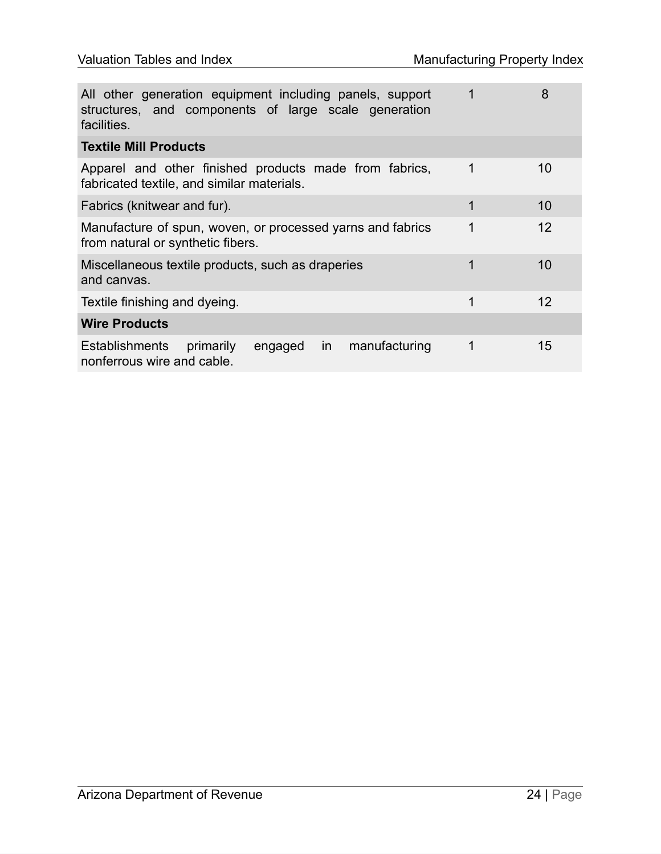| All other generation equipment including panels, support<br>structures, and components of large scale generation<br>facilities. | 1 | 8  |
|---------------------------------------------------------------------------------------------------------------------------------|---|----|
| <b>Textile Mill Products</b>                                                                                                    |   |    |
| Apparel and other finished products made from fabrics,<br>fabricated textile, and similar materials.                            | 1 | 10 |
| Fabrics (knitwear and fur).                                                                                                     | 1 | 10 |
| Manufacture of spun, woven, or processed yarns and fabrics<br>from natural or synthetic fibers.                                 | 1 | 12 |
| Miscellaneous textile products, such as draperies<br>and canvas.                                                                | 1 | 10 |
| Textile finishing and dyeing.                                                                                                   | 1 | 12 |
| <b>Wire Products</b>                                                                                                            |   |    |
| manufacturing<br><b>Establishments</b><br>primarily<br>engaged<br>in<br>nonferrous wire and cable.                              | 1 | 15 |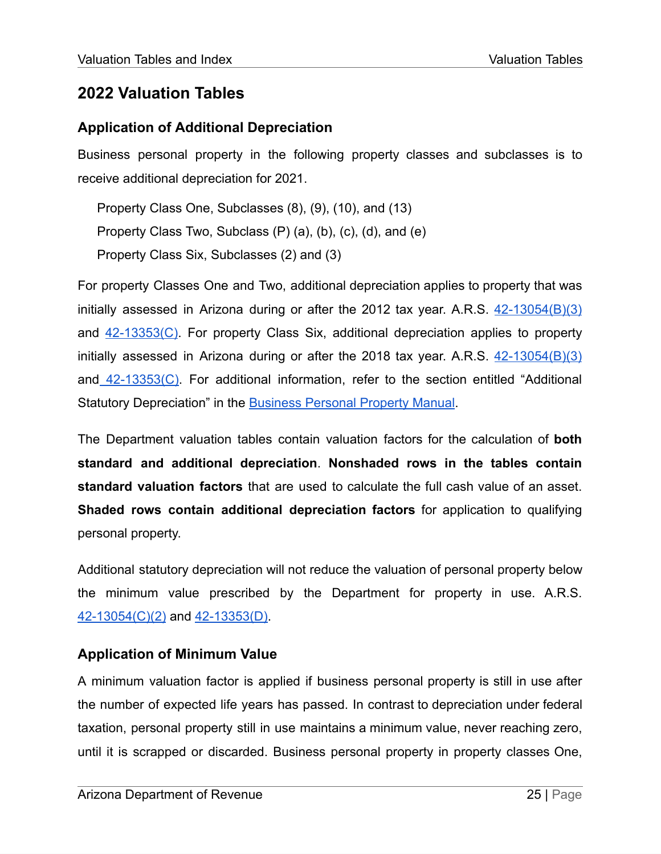#### <span id="page-25-1"></span><span id="page-25-0"></span>**Application of Additional Depreciation**

Business personal property in the following property classes and subclasses is to receive additional depreciation for 2021.

Property Class One, Subclasses (8), (9), (10), and (13) Property Class Two, Subclass (P) (a), (b), (c), (d), and (e) Property Class Six, Subclasses (2) and (3)

For property Classes One and Two, additional depreciation applies to property that was initially assessed in Arizona during or after the 2012 tax year. A.R.S.  $42-13054(B)(3)$ and [42-13353\(C\).](https://www.azleg.gov/viewdocument/?docName=https://www.azleg.gov/ars/42/13353.htm) For property Class Six, additional depreciation applies to property initially assessed in Arizona during or after the 2018 tax year. A.R.S.  $42-13054(B)(3)$ and [42-13353\(C\).](https://www.azleg.gov/viewdocument/?docName=https://www.azleg.gov/ars/42/13353.htm) For additional information, refer to the section entitled "Additional Statutory Depreciation" in the [Business](https://azdor.gov/sites/default/files/media/PROPERTY_pp-manual.pdf) Personal Property Manual.

The Department valuation tables contain valuation factors for the calculation of **both standard and additional depreciation**. **Nonshaded rows in the tables contain standard valuation factors** that are used to calculate the full cash value of an asset. **Shaded rows contain additional depreciation factors** for application to qualifying personal property.

Additional statutory depreciation will not reduce the valuation of personal property below the minimum value prescribed by the Department for property in use. A.R.S. [42-13054\(C\)\(2\)](https://www.azleg.gov/viewdocument/?docName=https://www.azleg.gov/ars/42/13054.htm) and [42-13353\(D\)](https://www.azleg.gov/viewdocument/?docName=https://www.azleg.gov/ars/42/13353.htm).

#### <span id="page-25-2"></span>**Application of Minimum Value**

A minimum valuation factor is applied if business personal property is still in use after the number of expected life years has passed. In contrast to depreciation under federal taxation, personal property still in use maintains a minimum value, never reaching zero, until it is scrapped or discarded. Business personal property in property classes One,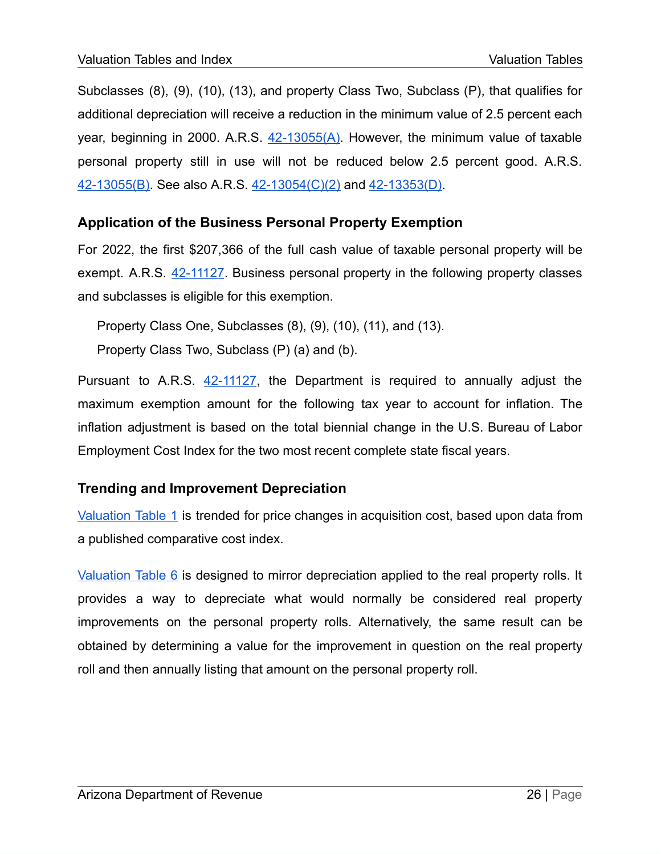Subclasses (8), (9), (10), (13), and property Class Two, Subclass (P), that qualifies for additional depreciation will receive a reduction in the minimum value of 2.5 percent each year, beginning in 2000. A.R.S. [42-13055\(A\)](https://www.azleg.gov/viewdocument/?docName=https://www.azleg.gov/ars/42/13055.htm). However, the minimum value of taxable personal property still in use will not be reduced below 2.5 percent good. A.R.S. [42-13055\(B\).](https://www.azleg.gov/viewdocument/?docName=https://www.azleg.gov/ars/42/13055.htm) See also A.R.S. [42-13054\(C\)\(2\)](https://www.azleg.gov/viewdocument/?docName=https://www.azleg.gov/ars/42/13054.htm) and [42-13353\(D\).](https://www.azleg.gov/viewdocument/?docName=https://www.azleg.gov/ars/42/13353.htm)

#### <span id="page-26-0"></span>**Application of the Business Personal Property Exemption**

For 2022, the first \$207,366 of the full cash value of taxable personal property will be exempt. A.R.S. [42-11127.](https://www.azleg.gov/viewdocument/?docName=https://www.azleg.gov/ars/42/11127.htm) Business personal property in the following property classes and subclasses is eligible for this exemption.

Property Class One, Subclasses (8), (9), (10), (11), and (13).

Property Class Two, Subclass (P) (a) and (b).

Pursuant to A.R.S. [42-11127,](https://www.azleg.gov/viewdocument/?docName=https://www.azleg.gov/ars/42/11127.htm) the Department is required to annually adjust the maximum exemption amount for the following tax year to account for inflation. The inflation adjustment is based on the total biennial change in the U.S. Bureau of Labor Employment Cost Index for the two most recent complete state fiscal years.

#### <span id="page-26-1"></span>**Trending and Improvement Depreciation**

[Valuation](#page-27-0) Table 1 is trended for price changes in acquisition cost, based upon data from a published comparative cost index.

[Valuation](#page-34-0) Table 6 is designed to mirror depreciation applied to the real property rolls. It provides a way to depreciate what would normally be considered real property improvements on the personal property rolls. Alternatively, the same result can be obtained by determining a value for the improvement in question on the real property roll and then annually listing that amount on the personal property roll.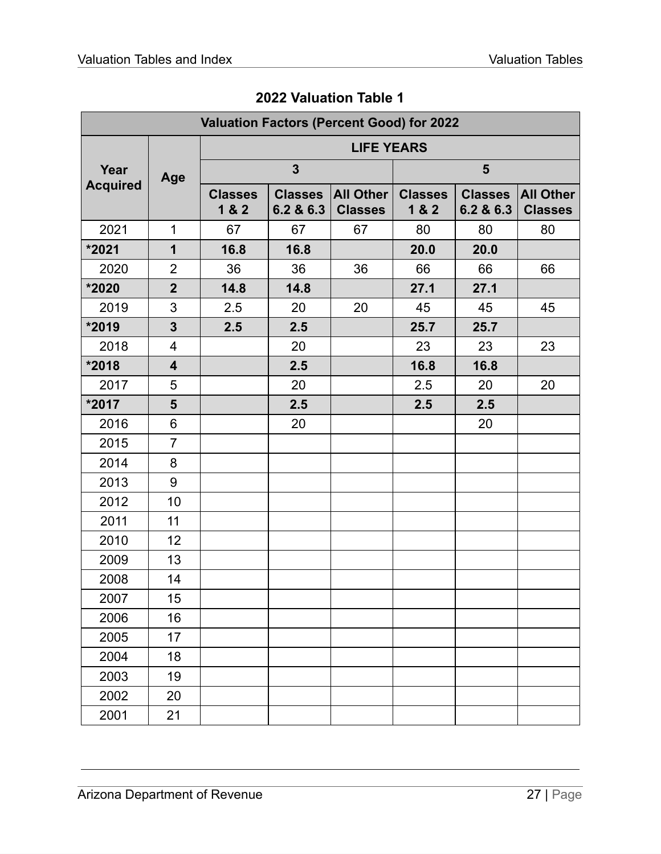<span id="page-27-0"></span>

| <b>Valuation Factors (Percent Good) for 2022</b> |                         |                         |                             |                             |                         |                             |                                    |  |
|--------------------------------------------------|-------------------------|-------------------------|-----------------------------|-----------------------------|-------------------------|-----------------------------|------------------------------------|--|
|                                                  |                         | <b>LIFE YEARS</b>       |                             |                             |                         |                             |                                    |  |
| Year                                             | Age                     |                         | $\mathbf{3}$                |                             | $5\phantom{1}$          |                             |                                    |  |
| <b>Acquired</b>                                  |                         | <b>Classes</b><br>1 & 2 | <b>Classes</b><br>6.2 & 6.3 | All Other<br><b>Classes</b> | <b>Classes</b><br>1 & 2 | <b>Classes</b><br>6.2 & 6.3 | <b>All Other</b><br><b>Classes</b> |  |
| 2021                                             | $\mathbf 1$             | 67                      | 67                          | 67                          | 80                      | 80                          | 80                                 |  |
| *2021                                            | $\mathbf 1$             | 16.8                    | 16.8                        |                             | 20.0                    | 20.0                        |                                    |  |
| 2020                                             | $\overline{2}$          | 36                      | 36                          | 36                          | 66                      | 66                          | 66                                 |  |
| *2020                                            | $\overline{2}$          | 14.8                    | 14.8                        |                             | 27.1                    | 27.1                        |                                    |  |
| 2019                                             | 3                       | 2.5                     | 20                          | 20                          | 45                      | 45                          | 45                                 |  |
| *2019                                            | $\overline{3}$          | 2.5                     | 2.5                         |                             | 25.7                    | 25.7                        |                                    |  |
| 2018                                             | $\overline{4}$          |                         | 20                          |                             | 23                      | 23                          | 23                                 |  |
| *2018                                            | $\overline{\mathbf{4}}$ |                         | 2.5                         |                             | 16.8                    | 16.8                        |                                    |  |
| 2017                                             | 5                       |                         | 20                          |                             | 2.5                     | 20                          | 20                                 |  |
| *2017                                            | 5                       |                         | 2.5                         |                             | 2.5                     | 2.5                         |                                    |  |
| 2016                                             | 6                       |                         | 20                          |                             |                         | 20                          |                                    |  |
| 2015                                             | $\overline{7}$          |                         |                             |                             |                         |                             |                                    |  |
| 2014                                             | 8                       |                         |                             |                             |                         |                             |                                    |  |
| 2013                                             | 9                       |                         |                             |                             |                         |                             |                                    |  |
| 2012                                             | 10                      |                         |                             |                             |                         |                             |                                    |  |
| 2011                                             | 11                      |                         |                             |                             |                         |                             |                                    |  |
| 2010                                             | 12                      |                         |                             |                             |                         |                             |                                    |  |
| 2009                                             | 13                      |                         |                             |                             |                         |                             |                                    |  |
| 2008                                             | 14                      |                         |                             |                             |                         |                             |                                    |  |
| 2007                                             | 15                      |                         |                             |                             |                         |                             |                                    |  |
| 2006                                             | 16                      |                         |                             |                             |                         |                             |                                    |  |
| 2005                                             | 17                      |                         |                             |                             |                         |                             |                                    |  |
| 2004                                             | 18                      |                         |                             |                             |                         |                             |                                    |  |
| 2003                                             | 19                      |                         |                             |                             |                         |                             |                                    |  |
| 2002                                             | 20                      |                         |                             |                             |                         |                             |                                    |  |
| 2001                                             | 21                      |                         |                             |                             |                         |                             |                                    |  |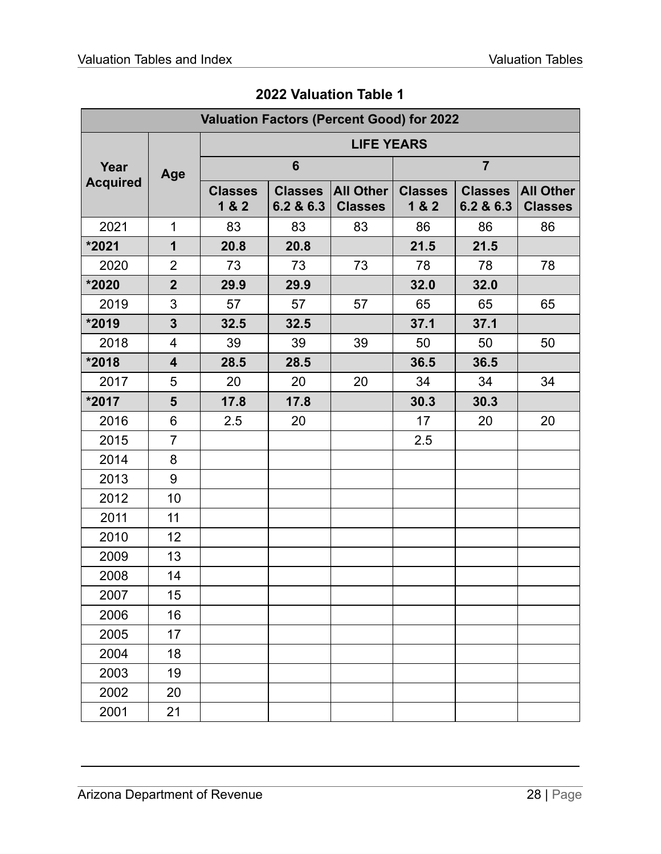| <b>Valuation Factors (Percent Good) for 2022</b> |                         |                         |                             |                             |                         |                             |                                    |  |
|--------------------------------------------------|-------------------------|-------------------------|-----------------------------|-----------------------------|-------------------------|-----------------------------|------------------------------------|--|
|                                                  |                         | <b>LIFE YEARS</b>       |                             |                             |                         |                             |                                    |  |
| Year                                             | Age                     |                         | $6\phantom{1}$              |                             |                         | $\overline{7}$              |                                    |  |
| <b>Acquired</b>                                  |                         | <b>Classes</b><br>1 & 2 | <b>Classes</b><br>6.2 & 6.3 | All Other<br><b>Classes</b> | <b>Classes</b><br>1 & 2 | <b>Classes</b><br>6.2 & 6.3 | <b>All Other</b><br><b>Classes</b> |  |
| 2021                                             | $\mathbf 1$             | 83                      | 83                          | 83                          | 86                      | 86                          | 86                                 |  |
| *2021                                            | $\mathbf 1$             | 20.8                    | 20.8                        |                             | 21.5                    | 21.5                        |                                    |  |
| 2020                                             | $\overline{2}$          | 73                      | 73                          | 73                          | 78                      | 78                          | 78                                 |  |
| *2020                                            | $\overline{2}$          | 29.9                    | 29.9                        |                             | 32.0                    | 32.0                        |                                    |  |
| 2019                                             | 3                       | 57                      | 57                          | 57                          | 65                      | 65                          | 65                                 |  |
| *2019                                            | $\overline{\mathbf{3}}$ | 32.5                    | 32.5                        |                             | 37.1                    | 37.1                        |                                    |  |
| 2018                                             | $\overline{4}$          | 39                      | 39                          | 39                          | 50                      | 50                          | 50                                 |  |
| *2018                                            | $\overline{\mathbf{4}}$ | 28.5                    | 28.5                        |                             | 36.5                    | 36.5                        |                                    |  |
| 2017                                             | 5                       | 20                      | 20                          | 20                          | 34                      | 34                          | 34                                 |  |
| *2017                                            | 5                       | 17.8                    | 17.8                        |                             | 30.3                    | 30.3                        |                                    |  |
| 2016                                             | 6                       | 2.5                     | 20                          |                             | 17                      | 20                          | 20                                 |  |
| 2015                                             | $\overline{7}$          |                         |                             |                             | 2.5                     |                             |                                    |  |
| 2014                                             | 8                       |                         |                             |                             |                         |                             |                                    |  |
| 2013                                             | 9                       |                         |                             |                             |                         |                             |                                    |  |
| 2012                                             | 10                      |                         |                             |                             |                         |                             |                                    |  |
| 2011                                             | 11                      |                         |                             |                             |                         |                             |                                    |  |
| 2010                                             | 12                      |                         |                             |                             |                         |                             |                                    |  |
| 2009                                             | 13                      |                         |                             |                             |                         |                             |                                    |  |
| 2008                                             | 14                      |                         |                             |                             |                         |                             |                                    |  |
| 2007                                             | 15                      |                         |                             |                             |                         |                             |                                    |  |
| 2006                                             | 16                      |                         |                             |                             |                         |                             |                                    |  |
| 2005                                             | 17                      |                         |                             |                             |                         |                             |                                    |  |
| 2004                                             | 18                      |                         |                             |                             |                         |                             |                                    |  |
| 2003                                             | 19                      |                         |                             |                             |                         |                             |                                    |  |
| 2002                                             | 20                      |                         |                             |                             |                         |                             |                                    |  |
| 2001                                             | 21                      |                         |                             |                             |                         |                             |                                    |  |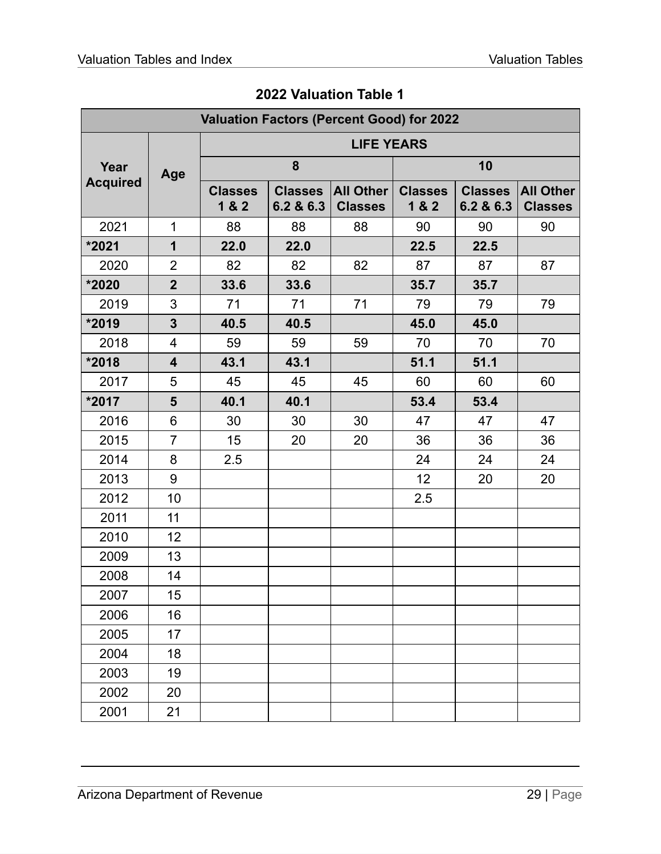| <b>Valuation Factors (Percent Good) for 2022</b> |                         |                             |                             |                         |                             |                                    |    |  |
|--------------------------------------------------|-------------------------|-----------------------------|-----------------------------|-------------------------|-----------------------------|------------------------------------|----|--|
|                                                  |                         | <b>LIFE YEARS</b>           |                             |                         |                             |                                    |    |  |
| Year                                             | Age                     |                             | 8                           |                         |                             | 10                                 |    |  |
| <b>Acquired</b>                                  | <b>Classes</b><br>1 & 2 | <b>Classes</b><br>6.2 & 6.3 | All Other<br><b>Classes</b> | <b>Classes</b><br>1 & 2 | <b>Classes</b><br>6.2 & 6.3 | <b>All Other</b><br><b>Classes</b> |    |  |
| 2021                                             | $\mathbf 1$             | 88                          | 88                          | 88                      | 90                          | 90                                 | 90 |  |
| *2021                                            | $\mathbf 1$             | 22.0                        | 22.0                        |                         | 22.5                        | 22.5                               |    |  |
| 2020                                             | $\overline{2}$          | 82                          | 82                          | 82                      | 87                          | 87                                 | 87 |  |
| *2020                                            | $\overline{2}$          | 33.6                        | 33.6                        |                         | 35.7                        | 35.7                               |    |  |
| 2019                                             | 3                       | 71                          | 71                          | 71                      | 79                          | 79                                 | 79 |  |
| *2019                                            | $\overline{\mathbf{3}}$ | 40.5                        | 40.5                        |                         | 45.0                        | 45.0                               |    |  |
| 2018                                             | $\overline{4}$          | 59                          | 59                          | 59                      | 70                          | 70                                 | 70 |  |
| *2018                                            | $\overline{\mathbf{4}}$ | 43.1                        | 43.1                        |                         | 51.1                        | 51.1                               |    |  |
| 2017                                             | 5                       | 45                          | 45                          | 45                      | 60                          | 60                                 | 60 |  |
| *2017                                            | 5                       | 40.1                        | 40.1                        |                         | 53.4                        | 53.4                               |    |  |
| 2016                                             | 6                       | 30                          | 30                          | 30                      | 47                          | 47                                 | 47 |  |
| 2015                                             | $\overline{7}$          | 15                          | 20                          | 20                      | 36                          | 36                                 | 36 |  |
| 2014                                             | 8                       | 2.5                         |                             |                         | 24                          | 24                                 | 24 |  |
| 2013                                             | 9                       |                             |                             |                         | 12                          | 20                                 | 20 |  |
| 2012                                             | 10                      |                             |                             |                         | 2.5                         |                                    |    |  |
| 2011                                             | 11                      |                             |                             |                         |                             |                                    |    |  |
| 2010                                             | 12                      |                             |                             |                         |                             |                                    |    |  |
| 2009                                             | 13                      |                             |                             |                         |                             |                                    |    |  |
| 2008                                             | 14                      |                             |                             |                         |                             |                                    |    |  |
| 2007                                             | 15                      |                             |                             |                         |                             |                                    |    |  |
| 2006                                             | 16                      |                             |                             |                         |                             |                                    |    |  |
| 2005                                             | 17                      |                             |                             |                         |                             |                                    |    |  |
| 2004                                             | 18                      |                             |                             |                         |                             |                                    |    |  |
| 2003                                             | 19                      |                             |                             |                         |                             |                                    |    |  |
| 2002                                             | 20                      |                             |                             |                         |                             |                                    |    |  |
| 2001                                             | 21                      |                             |                             |                         |                             |                                    |    |  |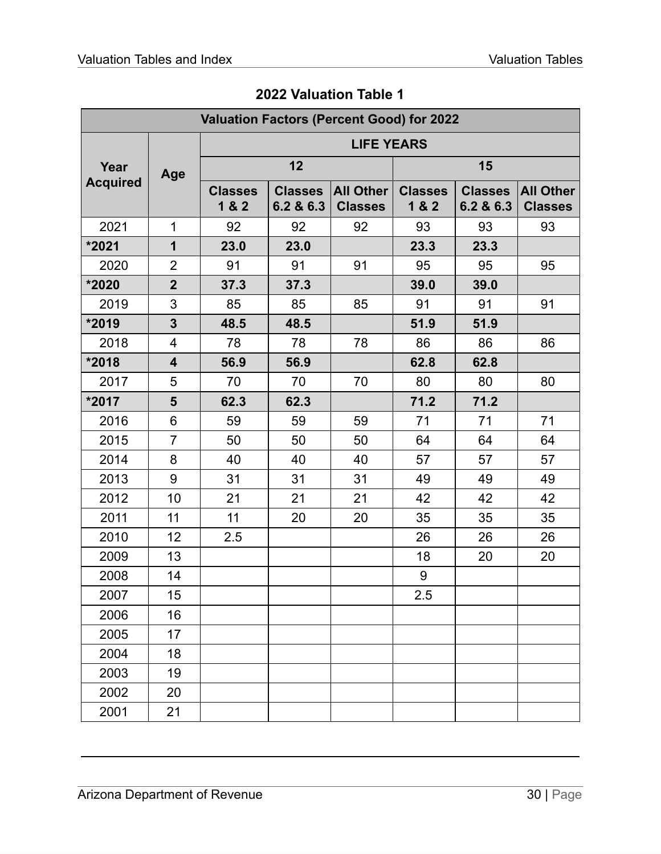| <b>Valuation Factors (Percent Good) for 2022</b> |                          |                         |                             |                                    |                         |                             |                                    |  |
|--------------------------------------------------|--------------------------|-------------------------|-----------------------------|------------------------------------|-------------------------|-----------------------------|------------------------------------|--|
|                                                  |                          | <b>LIFE YEARS</b>       |                             |                                    |                         |                             |                                    |  |
| Year                                             | Age                      | 12                      |                             |                                    |                         | 15                          |                                    |  |
| <b>Acquired</b>                                  |                          | <b>Classes</b><br>1 & 2 | <b>Classes</b><br>6.2 & 6.3 | <b>All Other</b><br><b>Classes</b> | <b>Classes</b><br>1 & 2 | <b>Classes</b><br>6.2 & 6.3 | <b>All Other</b><br><b>Classes</b> |  |
| 2021                                             | $\mathbf 1$              | 92                      | 92                          | 92                                 | 93                      | 93                          | 93                                 |  |
| *2021                                            | $\mathbf 1$              | 23.0                    | 23.0                        |                                    | 23.3                    | 23.3                        |                                    |  |
| 2020                                             | $\overline{2}$           | 91                      | 91                          | 91                                 | 95                      | 95                          | 95                                 |  |
| *2020                                            | $\overline{2}$           | 37.3                    | 37.3                        |                                    | 39.0                    | 39.0                        |                                    |  |
| 2019                                             | 3                        | 85                      | 85                          | 85                                 | 91                      | 91                          | 91                                 |  |
| *2019                                            | $\mathbf{3}$             | 48.5                    | 48.5                        |                                    | 51.9                    | 51.9                        |                                    |  |
| 2018                                             | $\overline{\mathcal{A}}$ | 78                      | 78                          | 78                                 | 86                      | 86                          | 86                                 |  |
| *2018                                            | $\overline{\mathbf{4}}$  | 56.9                    | 56.9                        |                                    | 62.8                    | 62.8                        |                                    |  |
| 2017                                             | 5                        | 70                      | 70                          | 70                                 | 80                      | 80                          | 80                                 |  |
| *2017                                            | 5                        | 62.3                    | 62.3                        |                                    | 71.2                    | 71.2                        |                                    |  |
| 2016                                             | 6                        | 59                      | 59                          | 59                                 | 71                      | 71                          | 71                                 |  |
| 2015                                             | $\overline{7}$           | 50                      | 50                          | 50                                 | 64                      | 64                          | 64                                 |  |
| 2014                                             | 8                        | 40                      | 40                          | 40                                 | 57                      | 57                          | 57                                 |  |
| 2013                                             | 9                        | 31                      | 31                          | 31                                 | 49                      | 49                          | 49                                 |  |
| 2012                                             | 10                       | 21                      | 21                          | 21                                 | 42                      | 42                          | 42                                 |  |
| 2011                                             | 11                       | 11                      | 20                          | 20                                 | 35                      | 35                          | 35                                 |  |
| 2010                                             | 12                       | 2.5                     |                             |                                    | 26                      | 26                          | 26                                 |  |
| 2009                                             | 13                       |                         |                             |                                    | 18                      | 20                          | 20                                 |  |
| 2008                                             | 14                       |                         |                             |                                    | 9                       |                             |                                    |  |
| 2007                                             | 15                       |                         |                             |                                    | 2.5                     |                             |                                    |  |
| 2006                                             | 16                       |                         |                             |                                    |                         |                             |                                    |  |
| 2005                                             | 17                       |                         |                             |                                    |                         |                             |                                    |  |
| 2004                                             | 18                       |                         |                             |                                    |                         |                             |                                    |  |
| 2003                                             | 19                       |                         |                             |                                    |                         |                             |                                    |  |
| 2002                                             | 20                       |                         |                             |                                    |                         |                             |                                    |  |
| 2001                                             | 21                       |                         |                             |                                    |                         |                             |                                    |  |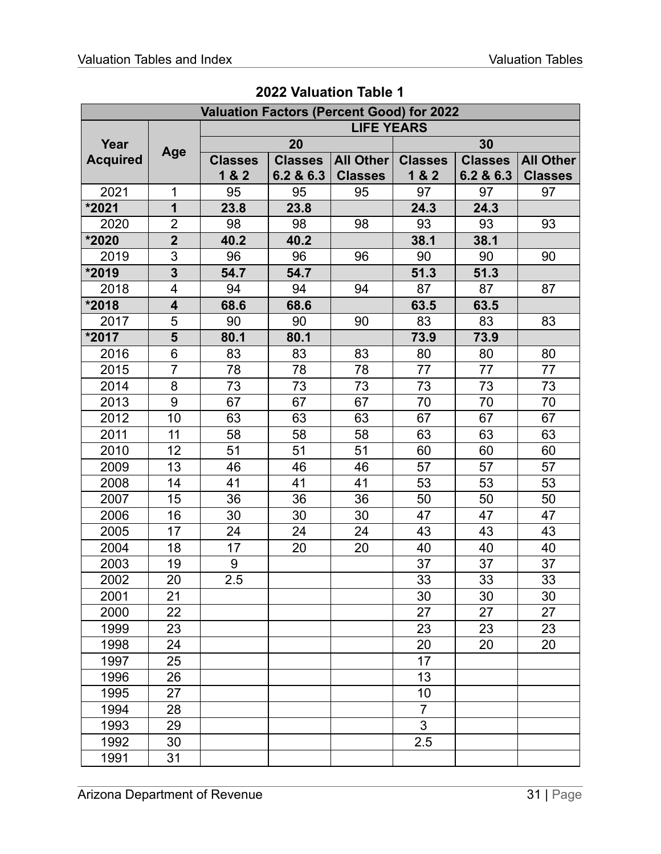|                 |                         | <b>Valuation Factors (Percent Good) for 2022</b> |                |                   |                |                |                  |
|-----------------|-------------------------|--------------------------------------------------|----------------|-------------------|----------------|----------------|------------------|
|                 |                         |                                                  |                | <b>LIFE YEARS</b> |                |                |                  |
| Year            |                         |                                                  | 20             |                   |                | 30             |                  |
| <b>Acquired</b> | Age                     | <b>Classes</b>                                   | <b>Classes</b> | All Other         | <b>Classes</b> | <b>Classes</b> | <b>All Other</b> |
|                 |                         | 1 & 2                                            | 6.2 & 6.3      | <b>Classes</b>    | 1 & 2          | 6.2 & 6.3      | <b>Classes</b>   |
| 2021            | 1                       | 95                                               | 95             | 95                | 97             | 97             | 97               |
| *2021           | $\mathbf 1$             | 23.8                                             | 23.8           |                   | 24.3           | 24.3           |                  |
| 2020            | $\overline{2}$          | 98                                               | 98             | 98                | 93             | 93             | 93               |
| *2020           | $\overline{\mathbf{2}}$ | 40.2                                             | 40.2           |                   | 38.1           | 38.1           |                  |
| 2019            | 3                       | 96                                               | 96             | 96                | 90             | 90             | 90               |
| *2019           | $\overline{\mathbf{3}}$ | 54.7                                             | 54.7           |                   | 51.3           | 51.3           |                  |
| 2018            | 4                       | 94                                               | 94             | 94                | 87             | 87             | 87               |
| *2018           | $\overline{\mathbf{4}}$ | 68.6                                             | 68.6           |                   | 63.5           | 63.5           |                  |
| 2017            | 5                       | 90                                               | 90             | 90                | 83             | 83             | 83               |
| *2017           | 5                       | 80.1                                             | 80.1           |                   | 73.9           | 73.9           |                  |
| 2016            | 6                       | 83                                               | 83             | 83                | 80             | 80             | 80               |
| 2015            | $\overline{7}$          | 78                                               | 78             | 78                | 77             | 77             | 77               |
| 2014            | 8                       | 73                                               | 73             | 73                | 73             | 73             | 73               |
| 2013            | 9                       | 67                                               | 67             | 67                | 70             | 70             | 70               |
| 2012            | 10                      | 63                                               | 63             | 63                | 67             | 67             | 67               |
| 2011            | 11                      | 58                                               | 58             | 58                | 63             | 63             | 63               |
| 2010            | 12                      | 51                                               | 51             | 51                | 60             | 60             | 60               |
| 2009            | 13                      | 46                                               | 46             | 46                | 57             | 57             | 57               |
| 2008            | 14                      | 41                                               | 41             | 41                | 53             | 53             | 53               |
| 2007            | 15                      | 36                                               | 36             | 36                | 50             | 50             | 50               |
| 2006            | 16                      | 30                                               | 30             | 30                | 47             | 47             | 47               |
| 2005            | 17                      | 24                                               | 24             | 24                | 43             | 43             | 43               |
| 2004            | 18                      | 17                                               | 20             | 20                | 40             | 40             | 40               |
| 2003            | 19                      | 9                                                |                |                   | 37             | 37             | 37               |
| 2002            | 20                      | 2.5                                              |                |                   | 33             | 33             | 33               |
| 2001            | 21                      |                                                  |                |                   | 30             | 30             | 30               |
| 2000            | 22                      |                                                  |                |                   | 27             | 27             | 27               |
| 1999            | 23                      |                                                  |                |                   | 23             | 23             | 23               |
| 1998            | 24                      |                                                  |                |                   | 20             | 20             | 20               |
| 1997            | 25                      |                                                  |                |                   | 17             |                |                  |
| 1996            | 26                      |                                                  |                |                   | 13             |                |                  |
| 1995            | 27                      |                                                  |                |                   | 10             |                |                  |
| 1994            | 28                      |                                                  |                |                   | $\overline{7}$ |                |                  |
| 1993            | 29                      |                                                  |                |                   | 3              |                |                  |
| 1992            | 30                      |                                                  |                |                   | 2.5            |                |                  |
| 1991            | 31                      |                                                  |                |                   |                |                |                  |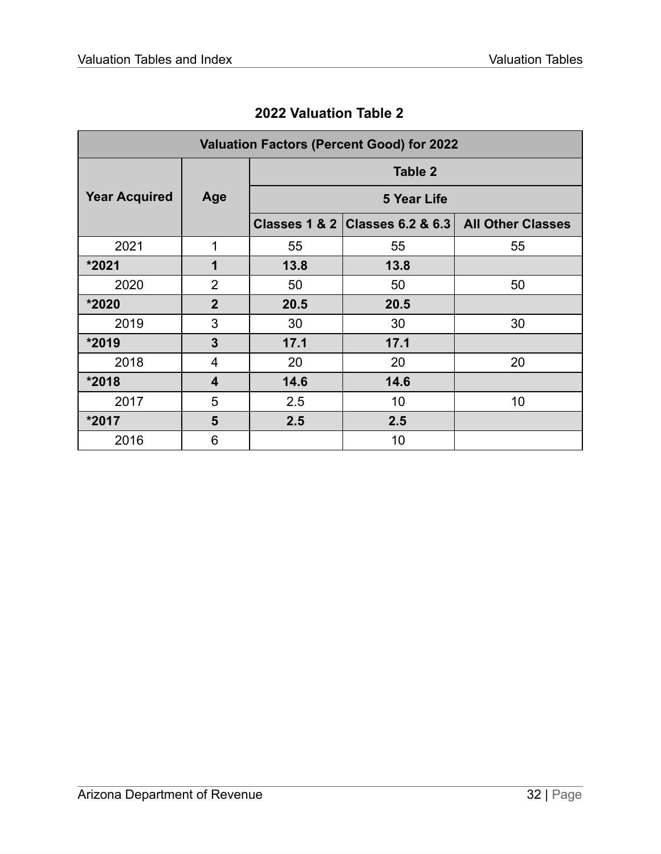<span id="page-32-0"></span>

| <b>Valuation Factors (Percent Good) for 2022</b> |                         |                |                                   |                          |  |  |  |  |  |
|--------------------------------------------------|-------------------------|----------------|-----------------------------------|--------------------------|--|--|--|--|--|
|                                                  |                         | <b>Table 2</b> |                                   |                          |  |  |  |  |  |
| <b>Year Acquired</b>                             | Age                     |                |                                   |                          |  |  |  |  |  |
|                                                  |                         |                | Classes 1 & 2   Classes 6.2 & 6.3 | <b>All Other Classes</b> |  |  |  |  |  |
| 2021                                             | 1                       | 55             | 55                                | 55                       |  |  |  |  |  |
| *2021                                            | 1                       | 13.8           | 13.8                              |                          |  |  |  |  |  |
| 2020                                             | $\overline{2}$          | 50             | 50                                | 50                       |  |  |  |  |  |
| *2020                                            | $\overline{2}$          | 20.5           | 20.5                              |                          |  |  |  |  |  |
| 2019                                             | 3                       | 30             | 30                                | 30                       |  |  |  |  |  |
| *2019                                            | 3                       | 17.1           | 17.1                              |                          |  |  |  |  |  |
| 2018                                             | 4                       | 20             | 20                                | 20                       |  |  |  |  |  |
| *2018                                            | $\overline{\mathbf{4}}$ | 14.6           | 14.6                              |                          |  |  |  |  |  |
| 2017                                             | 5                       | 2.5            | 10                                | 10                       |  |  |  |  |  |
| *2017                                            | 5                       | 2.5            | 2.5                               |                          |  |  |  |  |  |
| 2016                                             | 6                       |                | 10                                |                          |  |  |  |  |  |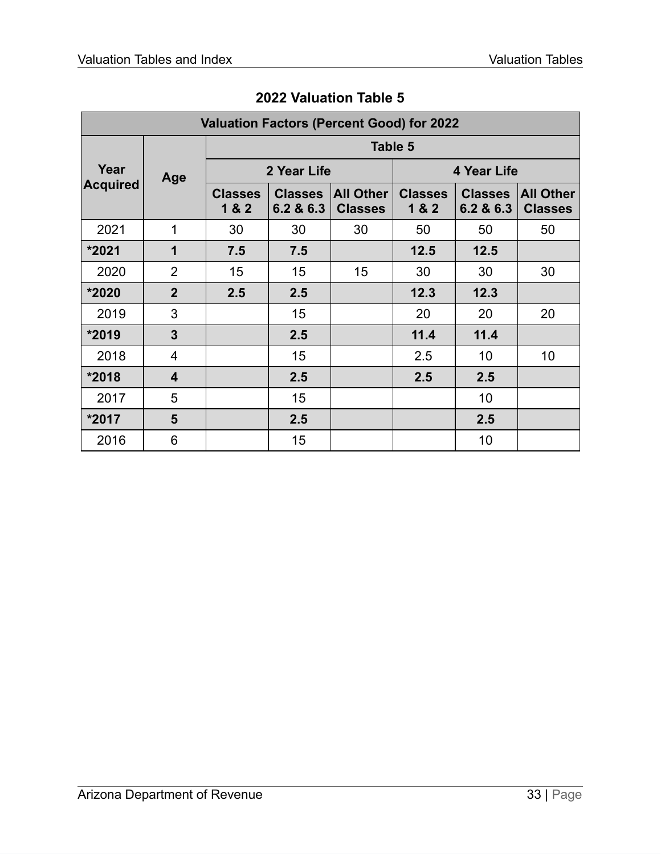<span id="page-33-0"></span>

|                 | <b>Valuation Factors (Percent Good) for 2022</b> |                         |                             |                                    |                         |                             |                                    |  |  |  |  |
|-----------------|--------------------------------------------------|-------------------------|-----------------------------|------------------------------------|-------------------------|-----------------------------|------------------------------------|--|--|--|--|
|                 |                                                  |                         | Table 5                     |                                    |                         |                             |                                    |  |  |  |  |
| Year            | Age                                              |                         | 2 Year Life                 |                                    |                         | 4 Year Life                 |                                    |  |  |  |  |
| <b>Acquired</b> |                                                  | <b>Classes</b><br>1 & 2 | <b>Classes</b><br>6.2 & 6.3 | <b>All Other</b><br><b>Classes</b> | <b>Classes</b><br>1 & 2 | <b>Classes</b><br>6.2 & 6.3 | <b>All Other</b><br><b>Classes</b> |  |  |  |  |
| 2021            | 1                                                | 30                      | 30                          | 30                                 | 50                      | 50                          | 50                                 |  |  |  |  |
| *2021           | 1                                                | 7.5                     | 7.5                         |                                    | 12.5                    | 12.5                        |                                    |  |  |  |  |
| 2020            | $\overline{2}$                                   | 15                      | 15                          | 15                                 | 30                      | 30                          | 30                                 |  |  |  |  |
| *2020           | $\overline{2}$                                   | 2.5                     | 2.5                         |                                    | 12.3                    | 12.3                        |                                    |  |  |  |  |
| 2019            | 3                                                |                         | 15                          |                                    | 20                      | 20                          | 20                                 |  |  |  |  |
| *2019           | 3                                                |                         | 2.5                         |                                    | 11.4                    | 11.4                        |                                    |  |  |  |  |
| 2018            | 4                                                |                         | 15                          |                                    | 2.5                     | 10                          | 10                                 |  |  |  |  |
| *2018           | $\overline{\mathbf{4}}$                          |                         | 2.5                         |                                    | 2.5                     | 2.5                         |                                    |  |  |  |  |
| 2017            | 5                                                |                         | 15                          |                                    |                         | 10                          |                                    |  |  |  |  |
| *2017           | 5                                                |                         | 2.5                         |                                    |                         | 2.5                         |                                    |  |  |  |  |
| 2016            | 6                                                |                         | 15                          |                                    |                         | 10                          |                                    |  |  |  |  |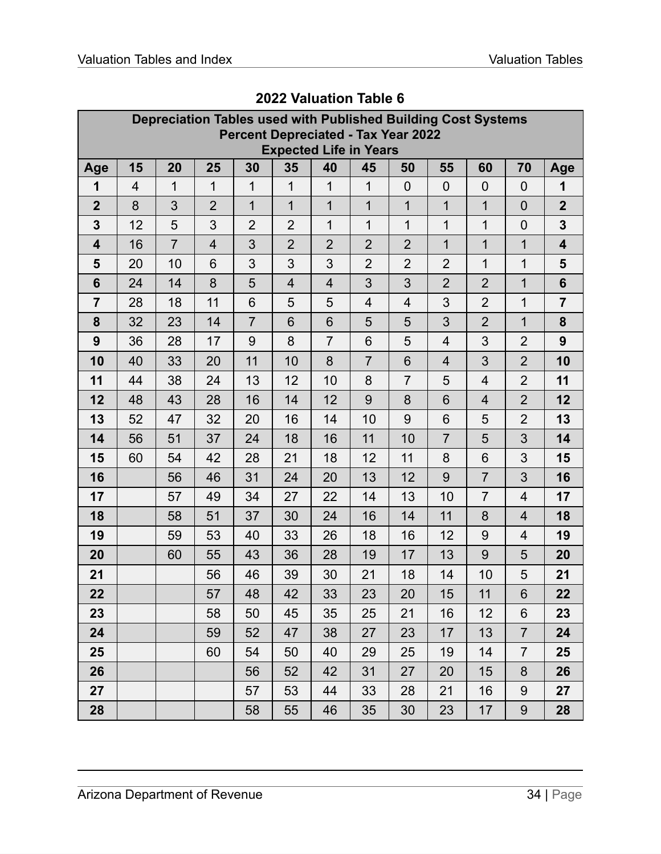<span id="page-34-0"></span>

|                         | Depreciation Tables used with Published Building Cost Systems<br><b>Percent Depreciated - Tax Year 2022</b><br><b>Expected Life in Years</b> |                |                |                |                |                |                |                |                |                |                 |                |
|-------------------------|----------------------------------------------------------------------------------------------------------------------------------------------|----------------|----------------|----------------|----------------|----------------|----------------|----------------|----------------|----------------|-----------------|----------------|
| Age                     | 15                                                                                                                                           | 20             | 25             | 30             | 35             | 40             | 45             | 50             | 55             | 60             | 70              | Age            |
| 1                       | 4                                                                                                                                            | 1              | $\mathbf 1$    | $\mathbf{1}$   | $\mathbf{1}$   | $\mathbf{1}$   | $\mathbf 1$    | $\overline{0}$ | $\mathbf 0$    | $\overline{0}$ | $\mathbf 0$     | 1              |
| $\overline{2}$          | 8                                                                                                                                            | 3              | $\overline{2}$ | $\mathbf{1}$   | $\mathbf{1}$   | $\overline{1}$ | $\overline{1}$ | $\mathbf 1$    | $\mathbf 1$    | $\mathbf 1$    | $\overline{0}$  | $\overline{2}$ |
| $\mathbf{3}$            | 12                                                                                                                                           | 5              | 3              | $\overline{2}$ | $\overline{2}$ | $\mathbf{1}$   | $\mathbf 1$    | $\overline{1}$ | 1              | $\mathbf 1$    | $\overline{0}$  | 3              |
| $\overline{\mathbf{4}}$ | 16                                                                                                                                           | $\overline{7}$ | $\overline{4}$ | 3              | $\overline{2}$ | $\overline{2}$ | $\overline{2}$ | $\overline{2}$ | $\mathbf 1$    | $\mathbf 1$    | 1               | 4              |
| 5                       | 20                                                                                                                                           | 10             | 6              | 3              | 3              | 3              | $\overline{2}$ | $\overline{2}$ | $\overline{2}$ | $\mathbf 1$    | 1               | 5              |
| $6\phantom{1}6$         | 24                                                                                                                                           | 14             | 8              | 5              | $\overline{4}$ | $\overline{4}$ | 3              | 3              | $\overline{2}$ | $\overline{2}$ | $\mathbf 1$     | $6\phantom{1}$ |
| $\overline{7}$          | 28                                                                                                                                           | 18             | 11             | 6              | 5              | 5              | $\overline{4}$ | $\overline{4}$ | 3              | $\overline{2}$ | 1               | $\overline{7}$ |
| 8                       | 32                                                                                                                                           | 23             | 14             | $\overline{7}$ | 6              | 6              | 5              | 5              | 3              | $\overline{2}$ | $\mathbf 1$     | 8              |
| 9                       | 36                                                                                                                                           | 28             | 17             | 9              | 8              | $\overline{7}$ | 6              | 5              | $\overline{4}$ | 3              | $\overline{2}$  | 9              |
| 10                      | 40                                                                                                                                           | 33             | 20             | 11             | 10             | 8              | $\overline{7}$ | 6              | $\overline{4}$ | 3              | $\overline{2}$  | 10             |
| 11                      | 44                                                                                                                                           | 38             | 24             | 13             | 12             | 10             | 8              | $\overline{7}$ | 5              | $\overline{4}$ | $\overline{2}$  | 11             |
| 12                      | 48                                                                                                                                           | 43             | 28             | 16             | 14             | 12             | 9              | 8              | 6              | $\overline{4}$ | $\overline{2}$  | 12             |
| 13                      | 52                                                                                                                                           | 47             | 32             | 20             | 16             | 14             | 10             | 9              | 6              | 5              | $\overline{2}$  | 13             |
| 14                      | 56                                                                                                                                           | 51             | 37             | 24             | 18             | 16             | 11             | 10             | $\overline{7}$ | 5              | 3               | 14             |
| 15                      | 60                                                                                                                                           | 54             | 42             | 28             | 21             | 18             | 12             | 11             | 8              | 6              | 3               | 15             |
| 16                      |                                                                                                                                              | 56             | 46             | 31             | 24             | 20             | 13             | 12             | 9              | $\overline{7}$ | 3               | 16             |
| 17                      |                                                                                                                                              | 57             | 49             | 34             | 27             | 22             | 14             | 13             | 10             | $\overline{7}$ | $\overline{4}$  | 17             |
| 18                      |                                                                                                                                              | 58             | 51             | 37             | 30             | 24             | 16             | 14             | 11             | 8              | $\overline{4}$  | 18             |
| 19                      |                                                                                                                                              | 59             | 53             | 40             | 33             | 26             | 18             | 16             | 12             | 9              | $\overline{4}$  | 19             |
| 20                      |                                                                                                                                              | 60             | 55             | 43             | 36             | 28             | 19             | 17             | 13             | 9              | 5               | 20             |
| 21                      |                                                                                                                                              |                | 56             | 46             | 39             | 30             | 21             | 18             | 14             | 10             | 5               | 21             |
| 22                      |                                                                                                                                              |                | 57             | 48             | 42             | 33             | 23             | 20             | 15             | 11             | $\,$ 6 $\,$     | 22             |
| 23                      |                                                                                                                                              |                | 58             | 50             | 45             | 35             | 25             | 21             | 16             | 12             | $6\phantom{1}6$ | 23             |
| 24                      |                                                                                                                                              |                | 59             | 52             | 47             | 38             | 27             | 23             | 17             | 13             | $\overline{7}$  | 24             |
| 25                      |                                                                                                                                              |                | 60             | 54             | 50             | 40             | 29             | 25             | 19             | 14             | $\overline{7}$  | 25             |
| 26                      |                                                                                                                                              |                |                | 56             | 52             | 42             | 31             | 27             | 20             | 15             | 8               | 26             |
| 27                      |                                                                                                                                              |                |                | 57             | 53             | 44             | 33             | 28             | 21             | 16             | 9               | 27             |
| 28                      |                                                                                                                                              |                |                | 58             | 55             | 46             | 35             | 30             | 23             | 17             | 9               | 28             |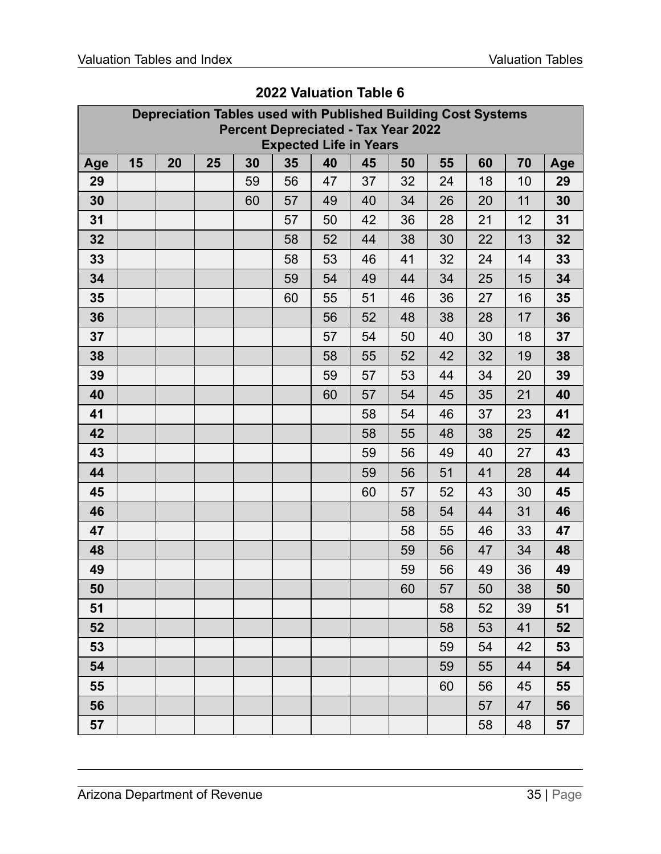|     | Depreciation Tables used with Published Building Cost Systems<br><b>Percent Depreciated - Tax Year 2022</b><br><b>Expected Life in Years</b> |    |    |    |    |    |    |    |    |    |    |     |
|-----|----------------------------------------------------------------------------------------------------------------------------------------------|----|----|----|----|----|----|----|----|----|----|-----|
| Age | 15                                                                                                                                           | 20 | 25 | 30 | 35 | 40 | 45 | 50 | 55 | 60 | 70 | Age |
| 29  |                                                                                                                                              |    |    | 59 | 56 | 47 | 37 | 32 | 24 | 18 | 10 | 29  |
| 30  |                                                                                                                                              |    |    | 60 | 57 | 49 | 40 | 34 | 26 | 20 | 11 | 30  |
| 31  |                                                                                                                                              |    |    |    | 57 | 50 | 42 | 36 | 28 | 21 | 12 | 31  |
| 32  |                                                                                                                                              |    |    |    | 58 | 52 | 44 | 38 | 30 | 22 | 13 | 32  |
| 33  |                                                                                                                                              |    |    |    | 58 | 53 | 46 | 41 | 32 | 24 | 14 | 33  |
| 34  |                                                                                                                                              |    |    |    | 59 | 54 | 49 | 44 | 34 | 25 | 15 | 34  |
| 35  |                                                                                                                                              |    |    |    | 60 | 55 | 51 | 46 | 36 | 27 | 16 | 35  |
| 36  |                                                                                                                                              |    |    |    |    | 56 | 52 | 48 | 38 | 28 | 17 | 36  |
| 37  |                                                                                                                                              |    |    |    |    | 57 | 54 | 50 | 40 | 30 | 18 | 37  |
| 38  |                                                                                                                                              |    |    |    |    | 58 | 55 | 52 | 42 | 32 | 19 | 38  |
| 39  |                                                                                                                                              |    |    |    |    | 59 | 57 | 53 | 44 | 34 | 20 | 39  |
| 40  |                                                                                                                                              |    |    |    |    | 60 | 57 | 54 | 45 | 35 | 21 | 40  |
| 41  |                                                                                                                                              |    |    |    |    |    | 58 | 54 | 46 | 37 | 23 | 41  |
| 42  |                                                                                                                                              |    |    |    |    |    | 58 | 55 | 48 | 38 | 25 | 42  |
| 43  |                                                                                                                                              |    |    |    |    |    | 59 | 56 | 49 | 40 | 27 | 43  |
| 44  |                                                                                                                                              |    |    |    |    |    | 59 | 56 | 51 | 41 | 28 | 44  |
| 45  |                                                                                                                                              |    |    |    |    |    | 60 | 57 | 52 | 43 | 30 | 45  |
| 46  |                                                                                                                                              |    |    |    |    |    |    | 58 | 54 | 44 | 31 | 46  |
| 47  |                                                                                                                                              |    |    |    |    |    |    | 58 | 55 | 46 | 33 | 47  |
| 48  |                                                                                                                                              |    |    |    |    |    |    | 59 | 56 | 47 | 34 | 48  |
| 49  |                                                                                                                                              |    |    |    |    |    |    | 59 | 56 | 49 | 36 | 49  |
| 50  |                                                                                                                                              |    |    |    |    |    |    | 60 | 57 | 50 | 38 | 50  |
| 51  |                                                                                                                                              |    |    |    |    |    |    |    | 58 | 52 | 39 | 51  |
| 52  |                                                                                                                                              |    |    |    |    |    |    |    | 58 | 53 | 41 | 52  |
| 53  |                                                                                                                                              |    |    |    |    |    |    |    | 59 | 54 | 42 | 53  |
| 54  |                                                                                                                                              |    |    |    |    |    |    |    | 59 | 55 | 44 | 54  |
| 55  |                                                                                                                                              |    |    |    |    |    |    |    | 60 | 56 | 45 | 55  |
| 56  |                                                                                                                                              |    |    |    |    |    |    |    |    | 57 | 47 | 56  |
| 57  |                                                                                                                                              |    |    |    |    |    |    |    |    | 58 | 48 | 57  |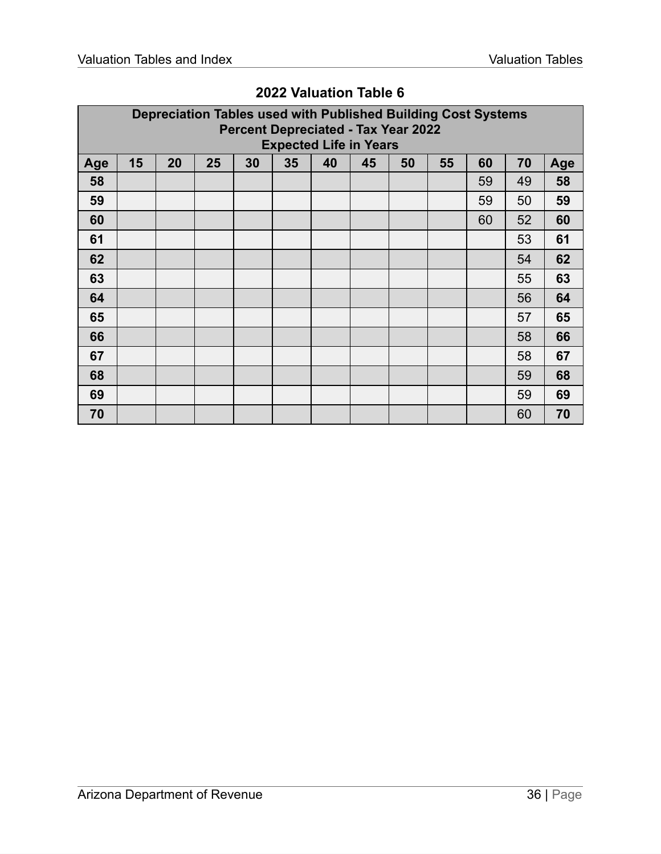|     | Depreciation Tables used with Published Building Cost Systems<br><b>Percent Depreciated - Tax Year 2022</b><br><b>Expected Life in Years</b> |    |    |    |    |    |    |    |    |    |    |     |
|-----|----------------------------------------------------------------------------------------------------------------------------------------------|----|----|----|----|----|----|----|----|----|----|-----|
| Age | 15                                                                                                                                           | 20 | 25 | 30 | 35 | 40 | 45 | 50 | 55 | 60 | 70 | Age |
| 58  |                                                                                                                                              |    |    |    |    |    |    |    |    | 59 | 49 | 58  |
| 59  |                                                                                                                                              |    |    |    |    |    |    |    |    | 59 | 50 | 59  |
| 60  |                                                                                                                                              |    |    |    |    |    |    |    |    | 60 | 52 | 60  |
| 61  |                                                                                                                                              |    |    |    |    |    |    |    |    |    | 53 | 61  |
| 62  |                                                                                                                                              |    |    |    |    |    |    |    |    |    | 54 | 62  |
| 63  |                                                                                                                                              |    |    |    |    |    |    |    |    |    | 55 | 63  |
| 64  |                                                                                                                                              |    |    |    |    |    |    |    |    |    | 56 | 64  |
| 65  |                                                                                                                                              |    |    |    |    |    |    |    |    |    | 57 | 65  |
| 66  |                                                                                                                                              |    |    |    |    |    |    |    |    |    | 58 | 66  |
| 67  |                                                                                                                                              |    |    |    |    |    |    |    |    |    | 58 | 67  |
| 68  |                                                                                                                                              |    |    |    |    |    |    |    |    |    | 59 | 68  |
| 69  |                                                                                                                                              |    |    |    |    |    |    |    |    |    | 59 | 69  |
| 70  |                                                                                                                                              |    |    |    |    |    |    |    |    |    | 60 | 70  |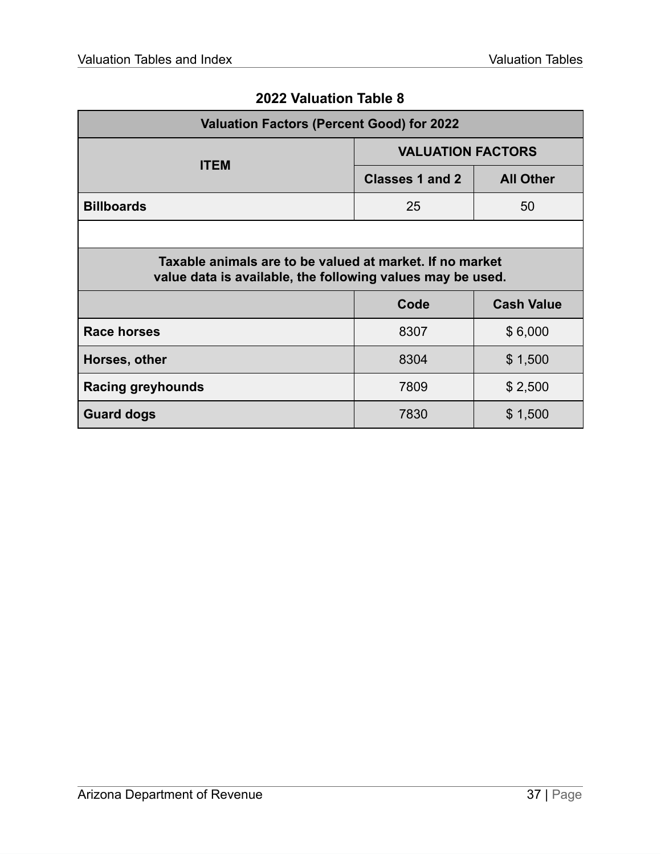<span id="page-37-0"></span>

| <b>Valuation Factors (Percent Good) for 2022</b>                                                                       |                          |                   |  |  |  |  |  |  |
|------------------------------------------------------------------------------------------------------------------------|--------------------------|-------------------|--|--|--|--|--|--|
| <b>ITEM</b>                                                                                                            | <b>VALUATION FACTORS</b> |                   |  |  |  |  |  |  |
|                                                                                                                        | <b>Classes 1 and 2</b>   | <b>All Other</b>  |  |  |  |  |  |  |
| <b>Billboards</b>                                                                                                      | 25                       | 50                |  |  |  |  |  |  |
|                                                                                                                        |                          |                   |  |  |  |  |  |  |
| Taxable animals are to be valued at market. If no market<br>value data is available, the following values may be used. |                          |                   |  |  |  |  |  |  |
|                                                                                                                        | Code                     | <b>Cash Value</b> |  |  |  |  |  |  |
| <b>Race horses</b>                                                                                                     | 8307                     | \$6,000           |  |  |  |  |  |  |
| Horses, other                                                                                                          | 8304                     | \$1,500           |  |  |  |  |  |  |
| <b>Racing greyhounds</b>                                                                                               | 7809                     | \$2,500           |  |  |  |  |  |  |
| <b>Guard dogs</b>                                                                                                      | 7830                     | \$1,500           |  |  |  |  |  |  |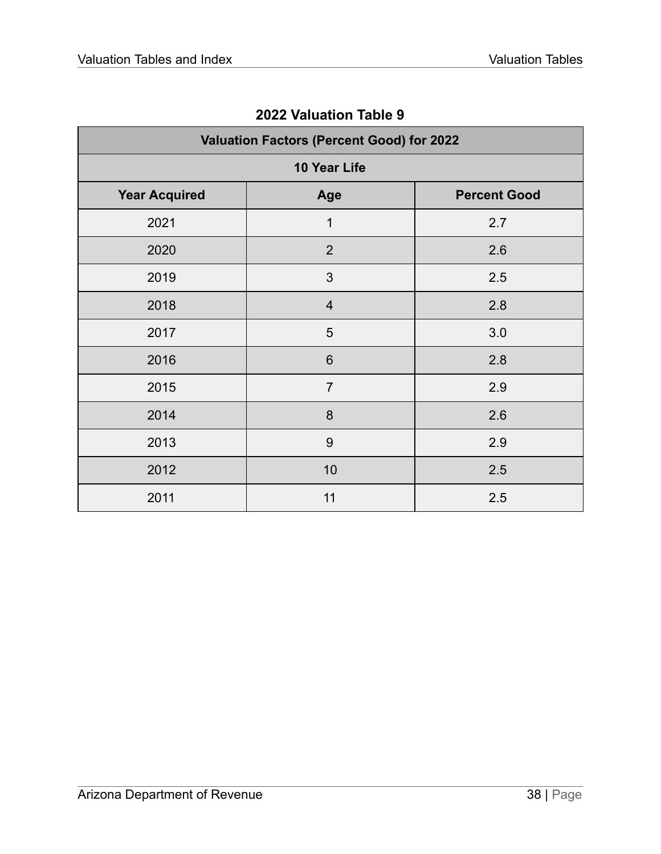<span id="page-38-0"></span>

| <b>Valuation Factors (Percent Good) for 2022</b> |                |                     |  |  |  |  |  |  |  |
|--------------------------------------------------|----------------|---------------------|--|--|--|--|--|--|--|
|                                                  | 10 Year Life   |                     |  |  |  |  |  |  |  |
| <b>Year Acquired</b>                             | Age            | <b>Percent Good</b> |  |  |  |  |  |  |  |
| 2021                                             | 1              | 2.7                 |  |  |  |  |  |  |  |
| 2020                                             | $\overline{2}$ | 2.6                 |  |  |  |  |  |  |  |
| 2019                                             | 3              | 2.5                 |  |  |  |  |  |  |  |
| 2018                                             | $\overline{4}$ | 2.8                 |  |  |  |  |  |  |  |
| 2017                                             | 5              | 3.0                 |  |  |  |  |  |  |  |
| 2016                                             | 6              | 2.8                 |  |  |  |  |  |  |  |
| 2015                                             | $\overline{7}$ | 2.9                 |  |  |  |  |  |  |  |
| 2014                                             | 8              | 2.6                 |  |  |  |  |  |  |  |
| 2013                                             | 9              | 2.9                 |  |  |  |  |  |  |  |
| 2012                                             | 10             | 2.5                 |  |  |  |  |  |  |  |
| 2011                                             | 11             | 2.5                 |  |  |  |  |  |  |  |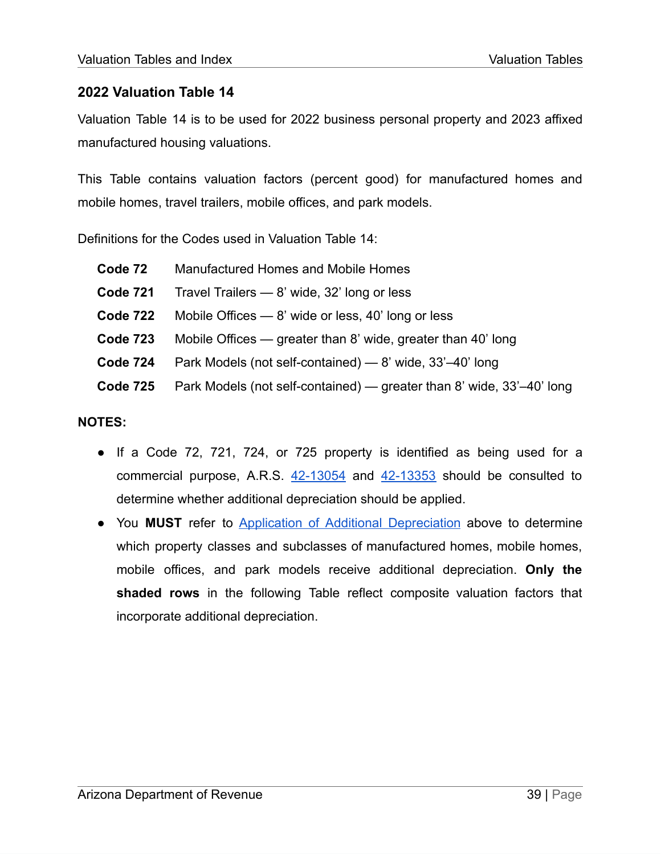<span id="page-39-0"></span>Valuation Table 14 is to be used for 2022 business personal property and 2023 affixed manufactured housing valuations.

This Table contains valuation factors (percent good) for manufactured homes and mobile homes, travel trailers, mobile offices, and park models.

Definitions for the Codes used in Valuation Table 14:

| Code 72         | Manufactured Homes and Mobile Homes                                   |
|-----------------|-----------------------------------------------------------------------|
| <b>Code 721</b> | Travel Trailers $-$ 8' wide, 32' long or less                         |
| Code 722        | Mobile Offices $-8'$ wide or less, 40' long or less                   |
| <b>Code 723</b> | Mobile Offices — greater than 8' wide, greater than 40' long          |
| <b>Code 724</b> | Park Models (not self-contained) — 8' wide, 33'-40' long              |
| Code 725        | Park Models (not self-contained) — greater than 8' wide, 33'-40' long |

#### **NOTES:**

- If a Code 72, 721, 724, or 725 property is identified as being used for a commercial purpose, A.R.S.  $42-13054$  and  $42-13353$  should be consulted to determine whether additional depreciation should be applied.
- You **MUST** refer to Application of Additional [Depreciation](#page-25-1) above to determine which property classes and subclasses of manufactured homes, mobile homes, mobile offices, and park models receive additional depreciation. **Only the shaded rows** in the following Table reflect composite valuation factors that incorporate additional depreciation.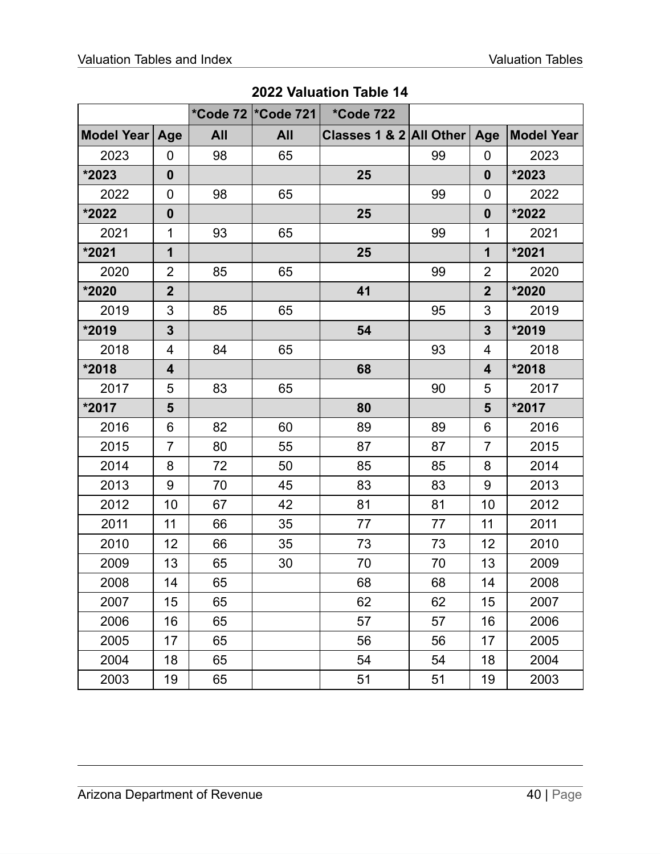|            |                         |            | *Code 72   * Code 721 | <i>*Code 722</i>        |    |                  |                   |
|------------|-------------------------|------------|-----------------------|-------------------------|----|------------------|-------------------|
| Model Year | Age                     | <b>All</b> | <b>All</b>            | Classes 1 & 2 All Other |    | Age              | <b>Model Year</b> |
| 2023       | 0                       | 98         | 65                    |                         | 99 | 0                | 2023              |
| *2023      | $\boldsymbol{0}$        |            |                       | 25                      |    | $\mathbf{0}$     | *2023             |
| 2022       | 0                       | 98         | 65                    |                         | 99 | 0                | 2022              |
| *2022      | $\mathbf 0$             |            |                       | 25                      |    | $\boldsymbol{0}$ | *2022             |
| 2021       | 1                       | 93         | 65                    |                         | 99 | $\mathbf 1$      | 2021              |
| *2021      | $\mathbf{1}$            |            |                       | 25                      |    | $\mathbf 1$      | *2021             |
| 2020       | $\overline{2}$          | 85         | 65                    |                         | 99 | $\overline{2}$   | 2020              |
| *2020      | $\overline{2}$          |            |                       | 41                      |    | $\overline{2}$   | *2020             |
| 2019       | 3                       | 85         | 65                    |                         | 95 | 3                | 2019              |
| *2019      | $\overline{\mathbf{3}}$ |            |                       | 54                      |    | $\overline{3}$   | *2019             |
| 2018       | 4                       | 84         | 65                    |                         | 93 | 4                | 2018              |
| *2018      | $\overline{\mathbf{4}}$ |            |                       | 68                      |    | 4                | *2018             |
| 2017       | 5                       | 83         | 65                    |                         | 90 | 5                | 2017              |
| *2017      | 5                       |            |                       | 80                      |    | 5                | *2017             |
| 2016       | 6                       | 82         | 60                    | 89                      | 89 | 6                | 2016              |
| 2015       | $\overline{7}$          | 80         | 55                    | 87                      | 87 | $\overline{7}$   | 2015              |
| 2014       | 8                       | 72         | 50                    | 85                      | 85 | 8                | 2014              |
| 2013       | 9                       | 70         | 45                    | 83                      | 83 | 9                | 2013              |
| 2012       | 10                      | 67         | 42                    | 81                      | 81 | 10               | 2012              |
| 2011       | 11                      | 66         | 35                    | 77                      | 77 | 11               | 2011              |
| 2010       | 12                      | 66         | 35                    | 73                      | 73 | 12               | 2010              |
| 2009       | 13                      | 65         | 30                    | 70                      | 70 | 13               | 2009              |
| 2008       | 14                      | 65         |                       | 68                      | 68 | 14               | 2008              |
| 2007       | 15                      | 65         |                       | 62                      | 62 | 15               | 2007              |
| 2006       | 16                      | 65         |                       | 57                      | 57 | 16               | 2006              |
| 2005       | 17                      | 65         |                       | 56                      | 56 | 17               | 2005              |
| 2004       | 18                      | 65         |                       | 54                      | 54 | 18               | 2004              |
| 2003       | 19                      | 65         |                       | 51                      | 51 | 19               | 2003              |

| 2022 Valuation Table 14 |  |  |  |
|-------------------------|--|--|--|
|-------------------------|--|--|--|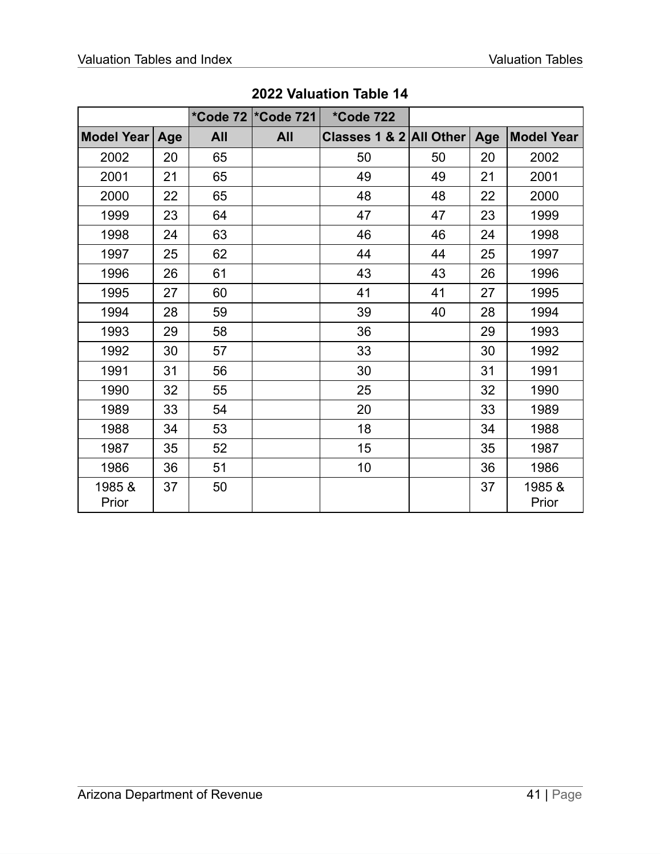|                   |     |            | *Code 72  *Code 721 | <i>*Code 722</i>        |    |     |                   |
|-------------------|-----|------------|---------------------|-------------------------|----|-----|-------------------|
| <b>Model Year</b> | Age | <b>All</b> | <b>All</b>          | Classes 1 & 2 All Other |    | Age | <b>Model Year</b> |
| 2002              | 20  | 65         |                     | 50                      | 50 | 20  | 2002              |
| 2001              | 21  | 65         |                     | 49                      | 49 | 21  | 2001              |
| 2000              | 22  | 65         |                     | 48                      | 48 | 22  | 2000              |
| 1999              | 23  | 64         |                     | 47                      | 47 | 23  | 1999              |
| 1998              | 24  | 63         |                     | 46                      | 46 | 24  | 1998              |
| 1997              | 25  | 62         |                     | 44                      | 44 | 25  | 1997              |
| 1996              | 26  | 61         |                     | 43                      | 43 | 26  | 1996              |
| 1995              | 27  | 60         |                     | 41                      | 41 | 27  | 1995              |
| 1994              | 28  | 59         |                     | 39                      | 40 | 28  | 1994              |
| 1993              | 29  | 58         |                     | 36                      |    | 29  | 1993              |
| 1992              | 30  | 57         |                     | 33                      |    | 30  | 1992              |
| 1991              | 31  | 56         |                     | 30                      |    | 31  | 1991              |
| 1990              | 32  | 55         |                     | 25                      |    | 32  | 1990              |
| 1989              | 33  | 54         |                     | 20                      |    | 33  | 1989              |
| 1988              | 34  | 53         |                     | 18                      |    | 34  | 1988              |
| 1987              | 35  | 52         |                     | 15                      |    | 35  | 1987              |
| 1986              | 36  | 51         |                     | 10                      |    | 36  | 1986              |
| 1985 &<br>Prior   | 37  | 50         |                     |                         |    | 37  | 1985 &<br>Prior   |

**Valuation Table 14**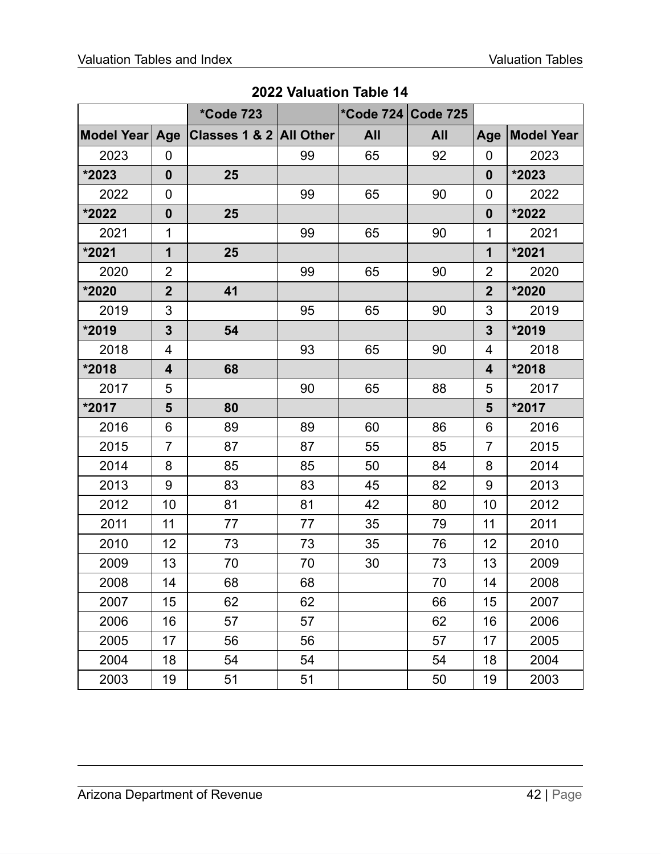|                |                         | <i><b>*Code 723</b></i> |    | *Code 724 Code 725 |            |                  |                   |
|----------------|-------------------------|-------------------------|----|--------------------|------------|------------------|-------------------|
| Model Year Age |                         | Classes 1 & 2 All Other |    | <b>All</b>         | <b>All</b> | Age              | <b>Model Year</b> |
| 2023           | 0                       |                         | 99 | 65                 | 92         | $\overline{0}$   | 2023              |
| *2023          | $\boldsymbol{0}$        | 25                      |    |                    |            | $\mathbf{0}$     | $*2023$           |
| 2022           | 0                       |                         | 99 | 65                 | 90         | $\mathbf 0$      | 2022              |
| *2022          | $\boldsymbol{0}$        | 25                      |    |                    |            | $\boldsymbol{0}$ | *2022             |
| 2021           | 1                       |                         | 99 | 65                 | 90         | $\mathbf 1$      | 2021              |
| *2021          | $\mathbf 1$             | 25                      |    |                    |            | $\mathbf{1}$     | *2021             |
| 2020           | $\overline{2}$          |                         | 99 | 65                 | 90         | 2                | 2020              |
| *2020          | $\overline{2}$          | 41                      |    |                    |            | $\overline{2}$   | *2020             |
| 2019           | 3                       |                         | 95 | 65                 | 90         | 3                | 2019              |
| *2019          | $\overline{\mathbf{3}}$ | 54                      |    |                    |            | $\overline{3}$   | *2019             |
| 2018           | 4                       |                         | 93 | 65                 | 90         | 4                | 2018              |
| *2018          | 4                       | 68                      |    |                    |            | 4                | *2018             |
| 2017           | 5                       |                         | 90 | 65                 | 88         | 5                | 2017              |
| $*2017$        | 5                       | 80                      |    |                    |            | 5                | *2017             |
| 2016           | 6                       | 89                      | 89 | 60                 | 86         | 6                | 2016              |
| 2015           | $\overline{7}$          | 87                      | 87 | 55                 | 85         | $\overline{7}$   | 2015              |
| 2014           | 8                       | 85                      | 85 | 50                 | 84         | 8                | 2014              |
| 2013           | 9                       | 83                      | 83 | 45                 | 82         | 9                | 2013              |
| 2012           | 10                      | 81                      | 81 | 42                 | 80         | 10               | 2012              |
| 2011           | 11                      | 77                      | 77 | 35                 | 79         | 11               | 2011              |
| 2010           | 12                      | 73                      | 73 | 35                 | 76         | 12               | 2010              |
| 2009           | 13                      | 70                      | 70 | 30                 | 73         | 13               | 2009              |
| 2008           | 14                      | 68                      | 68 |                    | 70         | 14               | 2008              |
| 2007           | 15                      | 62                      | 62 |                    | 66         | 15               | 2007              |
| 2006           | 16                      | 57                      | 57 |                    | 62         | 16               | 2006              |
| 2005           | 17                      | 56                      | 56 |                    | 57         | 17               | 2005              |
| 2004           | 18                      | 54                      | 54 |                    | 54         | 18               | 2004              |
| 2003           | 19                      | 51                      | 51 |                    | 50         | 19               | 2003              |

**Valuation Table 14**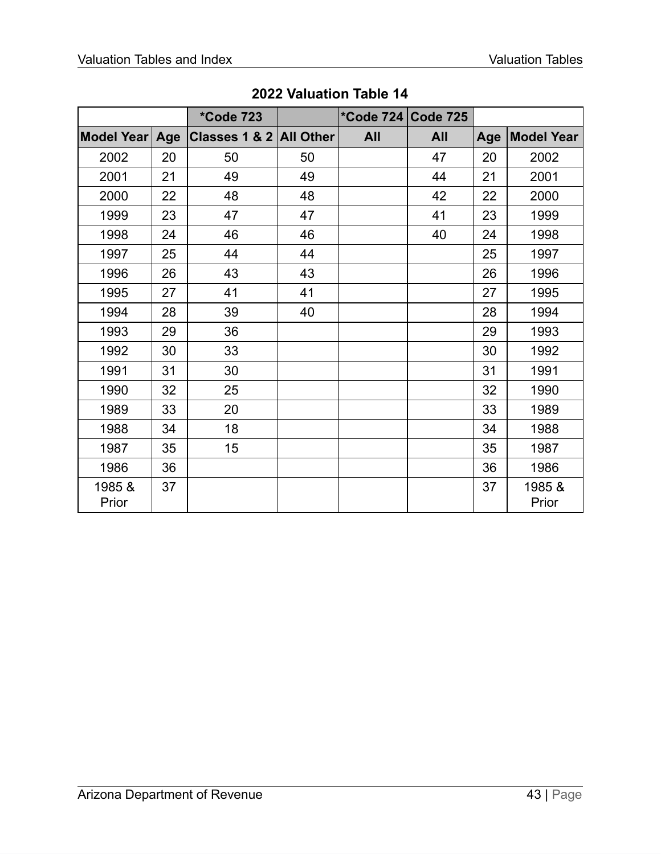|                 |     | <i><b>*Code 723</b></i> |    | *Code 724 Code 725 |            |     |                   |
|-----------------|-----|-------------------------|----|--------------------|------------|-----|-------------------|
| Model Year      | Age | Classes 1 & 2 All Other |    | <b>All</b>         | <b>All</b> | Age | <b>Model Year</b> |
| 2002            | 20  | 50                      | 50 |                    | 47         | 20  | 2002              |
| 2001            | 21  | 49                      | 49 |                    | 44         | 21  | 2001              |
| 2000            | 22  | 48                      | 48 |                    | 42         | 22  | 2000              |
| 1999            | 23  | 47                      | 47 |                    | 41         | 23  | 1999              |
| 1998            | 24  | 46                      | 46 |                    | 40         | 24  | 1998              |
| 1997            | 25  | 44                      | 44 |                    |            | 25  | 1997              |
| 1996            | 26  | 43                      | 43 |                    |            | 26  | 1996              |
| 1995            | 27  | 41                      | 41 |                    |            | 27  | 1995              |
| 1994            | 28  | 39                      | 40 |                    |            | 28  | 1994              |
| 1993            | 29  | 36                      |    |                    |            | 29  | 1993              |
| 1992            | 30  | 33                      |    |                    |            | 30  | 1992              |
| 1991            | 31  | 30                      |    |                    |            | 31  | 1991              |
| 1990            | 32  | 25                      |    |                    |            | 32  | 1990              |
| 1989            | 33  | 20                      |    |                    |            | 33  | 1989              |
| 1988            | 34  | 18                      |    |                    |            | 34  | 1988              |
| 1987            | 35  | 15                      |    |                    |            | 35  | 1987              |
| 1986            | 36  |                         |    |                    |            | 36  | 1986              |
| 1985 &<br>Prior | 37  |                         |    |                    |            | 37  | 1985 &<br>Prior   |

**Valuation Table 14**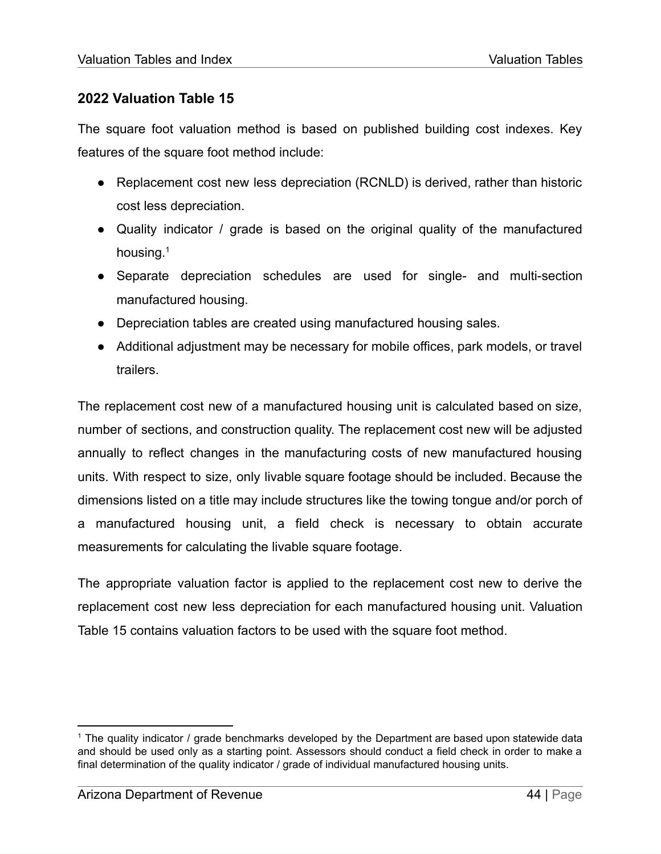<span id="page-44-0"></span>The square foot valuation method is based on published building cost indexes. Key features of the square foot method include:

- Replacement cost new less depreciation (RCNLD) is derived, rather than historic cost less depreciation.
- Quality indicator / grade is based on the original quality of the manufactured housing.<sup>1</sup>
- Separate depreciation schedules are used for single- and multi-section manufactured housing.
- Depreciation tables are created using manufactured housing sales.
- Additional adjustment may be necessary for mobile offices, park models, or travel trailers.

The replacement cost new of a manufactured housing unit is calculated based on size, number of sections, and construction quality. The replacement cost new will be adjusted annually to reflect changes in the manufacturing costs of new manufactured housing units. With respect to size, only livable square footage should be included. Because the dimensions listed on a title may include structures like the towing tongue and/or porch of a manufactured housing unit, a field check is necessary to obtain accurate measurements for calculating the livable square footage.

The appropriate valuation factor is applied to the replacement cost new to derive the replacement cost new less depreciation for each manufactured housing unit. Valuation Table 15 contains valuation factors to be used with the square foot method.

<sup>&</sup>lt;sup>1</sup> The quality indicator / grade benchmarks developed by the Department are based upon statewide data and should be used only as a starting point. Assessors should conduct a field check in order to make a final determination of the quality indicator / grade of individual manufactured housing units.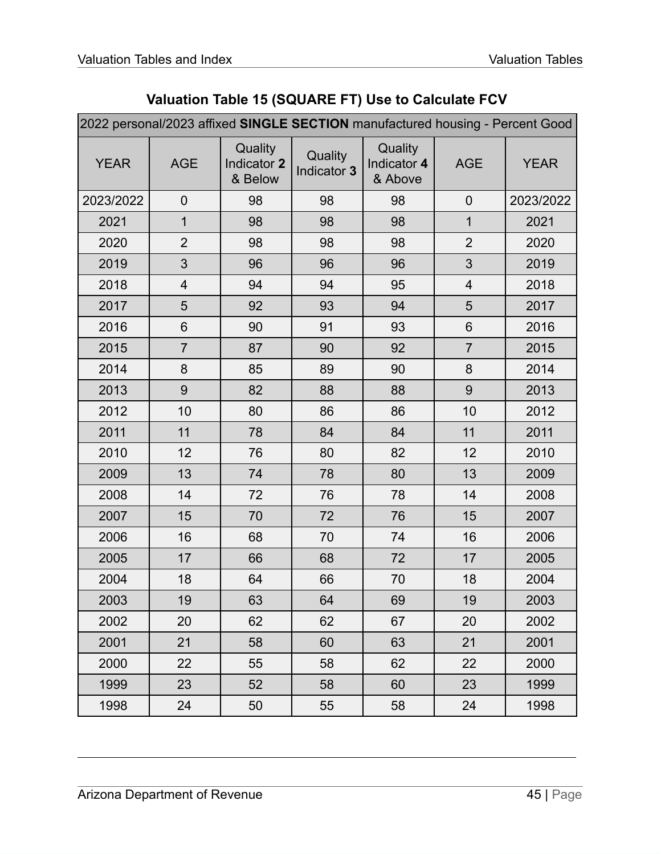|  |  |  | Valuation Table 15 (SQUARE FT) Use to Calculate FCV |  |
|--|--|--|-----------------------------------------------------|--|
|--|--|--|-----------------------------------------------------|--|

| 2022 personal/2023 affixed SINGLE SECTION manufactured housing - Percent Good |                |                                   |                        |                                   |                |             |  |
|-------------------------------------------------------------------------------|----------------|-----------------------------------|------------------------|-----------------------------------|----------------|-------------|--|
| <b>YEAR</b>                                                                   | <b>AGE</b>     | Quality<br>Indicator 2<br>& Below | Quality<br>Indicator 3 | Quality<br>Indicator 4<br>& Above | <b>AGE</b>     | <b>YEAR</b> |  |
| 2023/2022                                                                     | $\mathbf 0$    | 98                                | 98                     | 98                                | $\overline{0}$ | 2023/2022   |  |
| 2021                                                                          | $\mathbf 1$    | 98                                | 98                     | 98                                | $\mathbf{1}$   | 2021        |  |
| 2020                                                                          | $\overline{2}$ | 98                                | 98                     | 98                                | $\overline{2}$ | 2020        |  |
| 2019                                                                          | 3              | 96                                | 96                     | 96                                | 3              | 2019        |  |
| 2018                                                                          | 4              | 94                                | 94                     | 95                                | $\overline{4}$ | 2018        |  |
| 2017                                                                          | 5              | 92                                | 93                     | 94                                | 5              | 2017        |  |
| 2016                                                                          | 6              | 90                                | 91                     | 93                                | $6\phantom{1}$ | 2016        |  |
| 2015                                                                          | $\overline{7}$ | 87                                | 90                     | 92                                | $\overline{7}$ | 2015        |  |
| 2014                                                                          | 8              | 85                                | 89                     | 90                                | 8              | 2014        |  |
| 2013                                                                          | 9              | 82                                | 88                     | 88                                | 9              | 2013        |  |
| 2012                                                                          | 10             | 80                                | 86                     | 86                                | 10             | 2012        |  |
| 2011                                                                          | 11             | 78                                | 84                     | 84                                | 11             | 2011        |  |
| 2010                                                                          | 12             | 76                                | 80                     | 82                                | 12             | 2010        |  |
| 2009                                                                          | 13             | 74                                | 78                     | 80                                | 13             | 2009        |  |
| 2008                                                                          | 14             | 72                                | 76                     | 78                                | 14             | 2008        |  |
| 2007                                                                          | 15             | 70                                | 72                     | 76                                | 15             | 2007        |  |
| 2006                                                                          | 16             | 68                                | 70                     | 74                                | 16             | 2006        |  |
| 2005                                                                          | 17             | 66                                | 68                     | 72                                | 17             | 2005        |  |
| 2004                                                                          | 18             | 64                                | 66                     | 70                                | 18             | 2004        |  |
| 2003                                                                          | 19             | 63                                | 64                     | 69                                | 19             | 2003        |  |
| 2002                                                                          | 20             | 62                                | 62                     | 67                                | 20             | 2002        |  |
| 2001                                                                          | 21             | 58                                | 60                     | 63                                | 21             | 2001        |  |
| 2000                                                                          | 22             | 55                                | 58                     | 62                                | 22             | 2000        |  |
| 1999                                                                          | 23             | 52                                | 58                     | 60                                | 23             | 1999        |  |
| 1998                                                                          | 24             | 50                                | 55                     | 58                                | 24             | 1998        |  |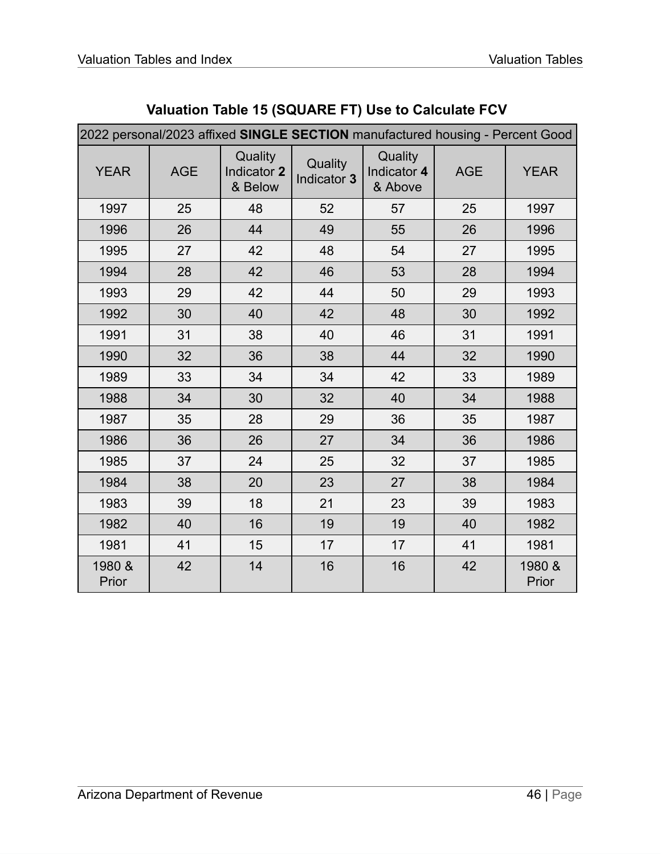| 2022 personal/2023 affixed SINGLE SECTION manufactured housing - Percent Good |            |                                   |                        |                                   |            |                 |  |
|-------------------------------------------------------------------------------|------------|-----------------------------------|------------------------|-----------------------------------|------------|-----------------|--|
| <b>YEAR</b>                                                                   | <b>AGE</b> | Quality<br>Indicator 2<br>& Below | Quality<br>Indicator 3 | Quality<br>Indicator 4<br>& Above | <b>AGE</b> | <b>YEAR</b>     |  |
| 1997                                                                          | 25         | 48                                | 52                     | 57                                | 25         | 1997            |  |
| 1996                                                                          | 26         | 44                                | 49                     | 55                                | 26         | 1996            |  |
| 1995                                                                          | 27         | 42                                | 48                     | 54                                | 27         | 1995            |  |
| 1994                                                                          | 28         | 42                                | 46                     | 53                                | 28         | 1994            |  |
| 1993                                                                          | 29         | 42                                | 44                     | 50                                | 29         | 1993            |  |
| 1992                                                                          | 30         | 40                                | 42                     | 48                                | 30         | 1992            |  |
| 1991                                                                          | 31         | 38                                | 40                     | 46                                | 31         | 1991            |  |
| 1990                                                                          | 32         | 36                                | 38                     | 44                                | 32         | 1990            |  |
| 1989                                                                          | 33         | 34                                | 34                     | 42                                | 33         | 1989            |  |
| 1988                                                                          | 34         | 30                                | 32                     | 40                                | 34         | 1988            |  |
| 1987                                                                          | 35         | 28                                | 29                     | 36                                | 35         | 1987            |  |
| 1986                                                                          | 36         | 26                                | 27                     | 34                                | 36         | 1986            |  |
| 1985                                                                          | 37         | 24                                | 25                     | 32                                | 37         | 1985            |  |
| 1984                                                                          | 38         | 20                                | 23                     | 27                                | 38         | 1984            |  |
| 1983                                                                          | 39         | 18                                | 21                     | 23                                | 39         | 1983            |  |
| 1982                                                                          | 40         | 16                                | 19                     | 19                                | 40         | 1982            |  |
| 1981                                                                          | 41         | 15                                | 17                     | 17                                | 41         | 1981            |  |
| 1980 &<br>Prior                                                               | 42         | 14                                | 16                     | 16                                | 42         | 1980 &<br>Prior |  |

# **Valuation Table 15 (SQUARE FT) Use to Calculate FCV**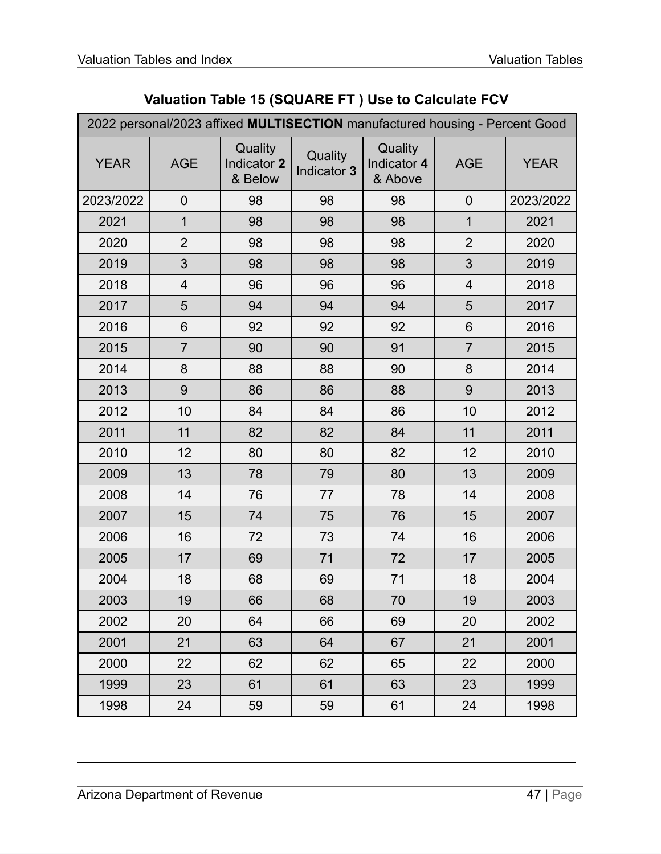|  |  |  | Valuation Table 15 (SQUARE FT) Use to Calculate FCV |  |
|--|--|--|-----------------------------------------------------|--|
|--|--|--|-----------------------------------------------------|--|

|             | 2022 personal/2023 affixed MULTISECTION manufactured housing - Percent Good |                                   |                        |                                   |                          |             |  |  |
|-------------|-----------------------------------------------------------------------------|-----------------------------------|------------------------|-----------------------------------|--------------------------|-------------|--|--|
| <b>YEAR</b> | <b>AGE</b>                                                                  | Quality<br>Indicator 2<br>& Below | Quality<br>Indicator 3 | Quality<br>Indicator 4<br>& Above | <b>AGE</b>               | <b>YEAR</b> |  |  |
| 2023/2022   | $\overline{0}$                                                              | 98                                | 98                     | 98                                | $\mathbf 0$              | 2023/2022   |  |  |
| 2021        | $\mathbf 1$                                                                 | 98                                | 98                     | 98                                | 1                        | 2021        |  |  |
| 2020        | $\overline{2}$                                                              | 98                                | 98                     | 98                                | $\overline{2}$           | 2020        |  |  |
| 2019        | 3                                                                           | 98                                | 98                     | 98                                | 3                        | 2019        |  |  |
| 2018        | 4                                                                           | 96                                | 96                     | 96                                | $\overline{\mathcal{A}}$ | 2018        |  |  |
| 2017        | 5                                                                           | 94                                | 94                     | 94                                | 5                        | 2017        |  |  |
| 2016        | 6                                                                           | 92                                | 92                     | 92                                | 6                        | 2016        |  |  |
| 2015        | $\overline{7}$                                                              | 90                                | 90                     | 91                                | $\overline{7}$           | 2015        |  |  |
| 2014        | 8                                                                           | 88                                | 88                     | 90                                | 8                        | 2014        |  |  |
| 2013        | 9                                                                           | 86                                | 86                     | 88                                | 9                        | 2013        |  |  |
| 2012        | 10                                                                          | 84                                | 84                     | 86                                | 10                       | 2012        |  |  |
| 2011        | 11                                                                          | 82                                | 82                     | 84                                | 11                       | 2011        |  |  |
| 2010        | 12                                                                          | 80                                | 80                     | 82                                | 12                       | 2010        |  |  |
| 2009        | 13                                                                          | 78                                | 79                     | 80                                | 13                       | 2009        |  |  |
| 2008        | 14                                                                          | 76                                | 77                     | 78                                | 14                       | 2008        |  |  |
| 2007        | 15                                                                          | 74                                | 75                     | 76                                | 15                       | 2007        |  |  |
| 2006        | 16                                                                          | 72                                | 73                     | 74                                | 16                       | 2006        |  |  |
| 2005        | 17                                                                          | 69                                | 71                     | 72                                | 17                       | 2005        |  |  |
| 2004        | 18                                                                          | 68                                | 69                     | 71                                | 18                       | 2004        |  |  |
| 2003        | 19                                                                          | 66                                | 68                     | 70                                | 19                       | 2003        |  |  |
| 2002        | 20                                                                          | 64                                | 66                     | 69                                | 20                       | 2002        |  |  |
| 2001        | 21                                                                          | 63                                | 64                     | 67                                | 21                       | 2001        |  |  |
| 2000        | 22                                                                          | 62                                | 62                     | 65                                | 22                       | 2000        |  |  |
| 1999        | 23                                                                          | 61                                | 61                     | 63                                | 23                       | 1999        |  |  |
| 1998        | 24                                                                          | 59                                | 59                     | 61                                | 24                       | 1998        |  |  |